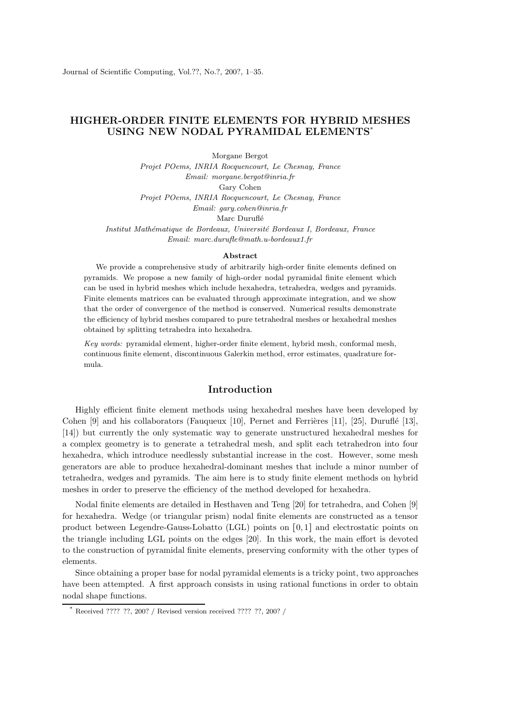# HIGHER-ORDER FINITE ELEMENTS FOR HYBRID MESHES USING NEW NODAL PYRAMIDAL ELEMENTS\*

Morgane Bergot Projet POems, INRIA Rocquencourt, Le Chesnay, France Email: morgane.bergot@inria.fr Gary Cohen Projet POems, INRIA Rocquencourt, Le Chesnay, France Email: gary.cohen@inria.fr Marc Duruflé Institut Math´ematique de Bordeaux, Universit´e Bordeaux I, Bordeaux, France Email: marc.durufle@math.u-bordeaux1.fr

#### Abstract

We provide a comprehensive study of arbitrarily high-order finite elements defined on pyramids. We propose a new family of high-order nodal pyramidal finite element which can be used in hybrid meshes which include hexahedra, tetrahedra, wedges and pyramids. Finite elements matrices can be evaluated through approximate integration, and we show that the order of convergence of the method is conserved. Numerical results demonstrate the efficiency of hybrid meshes compared to pure tetrahedral meshes or hexahedral meshes obtained by splitting tetrahedra into hexahedra.

Key words: pyramidal element, higher-order finite element, hybrid mesh, conformal mesh, continuous finite element, discontinuous Galerkin method, error estimates, quadrature formula.

# Introduction

Highly efficient finite element methods using hexahedral meshes have been developed by Cohen  $[9]$  and his collaborators (Fauqueux  $[10]$ , Pernet and Ferrières  $[11]$ ,  $[25]$ , Duruflé  $[13]$ , [14]) but currently the only systematic way to generate unstructured hexahedral meshes for a complex geometry is to generate a tetrahedral mesh, and split each tetrahedron into four hexahedra, which introduce needlessly substantial increase in the cost. However, some mesh generators are able to produce hexahedral-dominant meshes that include a minor number of tetrahedra, wedges and pyramids. The aim here is to study finite element methods on hybrid meshes in order to preserve the efficiency of the method developed for hexahedra.

Nodal finite elements are detailed in Hesthaven and Teng [20] for tetrahedra, and Cohen [9] for hexahedra. Wedge (or triangular prism) nodal finite elements are constructed as a tensor product between Legendre-Gauss-Lobatto (LGL) points on [0, 1] and electrostatic points on the triangle including LGL points on the edges [20]. In this work, the main effort is devoted to the construction of pyramidal finite elements, preserving conformity with the other types of elements.

Since obtaining a proper base for nodal pyramidal elements is a tricky point, two approaches have been attempted. A first approach consists in using rational functions in order to obtain nodal shape functions.

Received ???? ??, 200? / Revised version received ???? ??, 200? /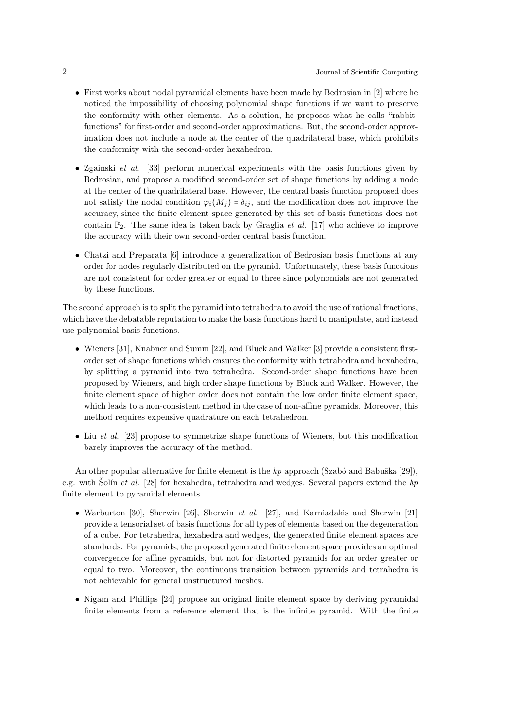- First works about nodal pyramidal elements have been made by Bedrosian in [2] where he noticed the impossibility of choosing polynomial shape functions if we want to preserve the conformity with other elements. As a solution, he proposes what he calls "rabbitfunctions" for first-order and second-order approximations. But, the second-order approximation does not include a node at the center of the quadrilateral base, which prohibits the conformity with the second-order hexahedron.
- Zgainski et al. [33] perform numerical experiments with the basis functions given by Bedrosian, and propose a modified second-order set of shape functions by adding a node at the center of the quadrilateral base. However, the central basis function proposed does not satisfy the nodal condition  $\varphi_i(M_j) = \delta_{ij}$ , and the modification does not improve the accuracy, since the finite element space generated by this set of basis functions does not contain  $\mathbb{P}_2$ . The same idea is taken back by Graglia *et al.* [17] who achieve to improve the accuracy with their own second-order central basis function.
- Chatzi and Preparata [6] introduce a generalization of Bedrosian basis functions at any order for nodes regularly distributed on the pyramid. Unfortunately, these basis functions are not consistent for order greater or equal to three since polynomials are not generated by these functions.

The second approach is to split the pyramid into tetrahedra to avoid the use of rational fractions, which have the debatable reputation to make the basis functions hard to manipulate, and instead use polynomial basis functions.

- Wieners [31], Knabner and Summ [22], and Bluck and Walker [3] provide a consistent firstorder set of shape functions which ensures the conformity with tetrahedra and hexahedra, by splitting a pyramid into two tetrahedra. Second-order shape functions have been proposed by Wieners, and high order shape functions by Bluck and Walker. However, the finite element space of higher order does not contain the low order finite element space, which leads to a non-consistent method in the case of non-affine pyramids. Moreover, this method requires expensive quadrature on each tetrahedron.
- Liu et al. [23] propose to symmetrize shape functions of Wieners, but this modification barely improves the accuracy of the method.

An other popular alternative for finite element is the hp approach (Szabó and Babuška [29]), e.g. with Solín *et al.* [28] for hexahedra, tetrahedra and wedges. Several papers extend the hp finite element to pyramidal elements.

- Warburton [30], Sherwin [26], Sherwin *et al.* [27], and Karniadakis and Sherwin [21] provide a tensorial set of basis functions for all types of elements based on the degeneration of a cube. For tetrahedra, hexahedra and wedges, the generated finite element spaces are standards. For pyramids, the proposed generated finite element space provides an optimal convergence for affine pyramids, but not for distorted pyramids for an order greater or equal to two. Moreover, the continuous transition between pyramids and tetrahedra is not achievable for general unstructured meshes.
- Nigam and Phillips [24] propose an original finite element space by deriving pyramidal finite elements from a reference element that is the infinite pyramid. With the finite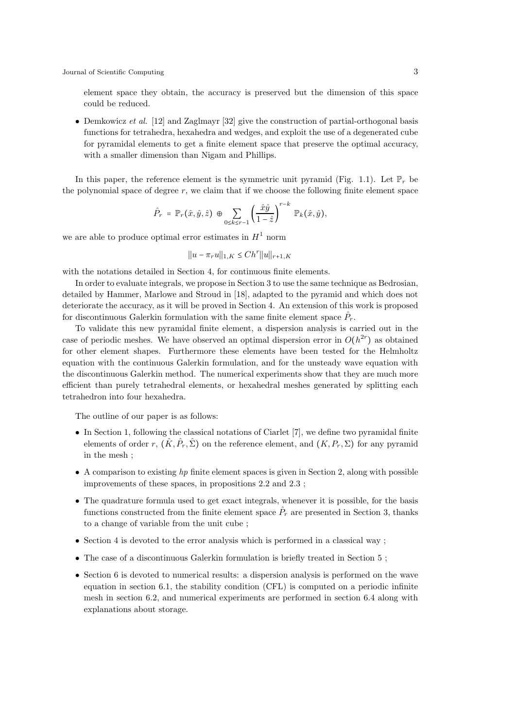element space they obtain, the accuracy is preserved but the dimension of this space could be reduced.

• Demkowicz et al. [12] and Zaglmayr [32] give the construction of partial-orthogonal basis functions for tetrahedra, hexahedra and wedges, and exploit the use of a degenerated cube for pyramidal elements to get a finite element space that preserve the optimal accuracy, with a smaller dimension than Nigam and Phillips.

In this paper, the reference element is the symmetric unit pyramid (Fig. 1.1). Let  $\mathbb{P}_r$  be the polynomial space of degree  $r$ , we claim that if we choose the following finite element space

$$
\hat{P}_r = \mathbb{P}_r(\hat{x}, \hat{y}, \hat{z}) \oplus \sum_{0 \le k \le r-1} \left(\frac{\hat{x}\hat{y}}{1-\hat{z}}\right)^{r-k} \mathbb{P}_k(\hat{x}, \hat{y}),
$$

we are able to produce optimal error estimates in  $H^1$  norm

$$
||u - \pi_r u||_{1,K} \leq Ch^r ||u||_{r+1,K}
$$

with the notations detailed in Section 4, for continuous finite elements.

In order to evaluate integrals, we propose in Section 3 to use the same technique as Bedrosian, detailed by Hammer, Marlowe and Stroud in [18], adapted to the pyramid and which does not deteriorate the accuracy, as it will be proved in Section 4. An extension of this work is proposed for discontinuous Galerkin formulation with the same finite element space  $\hat{P}_r$ .

To validate this new pyramidal finite element, a dispersion analysis is carried out in the case of periodic meshes. We have observed an optimal dispersion error in  $O(h^{2r})$  as obtained for other element shapes. Furthermore these elements have been tested for the Helmholtz equation with the continuous Galerkin formulation, and for the unsteady wave equation with the discontinuous Galerkin method. The numerical experiments show that they are much more efficient than purely tetrahedral elements, or hexahedral meshes generated by splitting each tetrahedron into four hexahedra.

The outline of our paper is as follows:

- In Section 1, following the classical notations of Ciarlet [7], we define two pyramidal finite elements of order r,  $(\hat{K}, \hat{P}_r, \hat{\Sigma})$  on the reference element, and  $(K, P_r, \Sigma)$  for any pyramid in the mesh ;
- $\bullet$  A comparison to existing hp finite element spaces is given in Section 2, along with possible improvements of these spaces, in propositions 2.2 and 2.3 ;
- The quadrature formula used to get exact integrals, whenever it is possible, for the basis functions constructed from the finite element space  $\hat{P}_r$  are presented in Section 3, thanks to a change of variable from the unit cube ;
- Section 4 is devoted to the error analysis which is performed in a classical way;
- The case of a discontinuous Galerkin formulation is briefly treated in Section 5 ;
- Section 6 is devoted to numerical results: a dispersion analysis is performed on the wave equation in section 6.1, the stability condition (CFL) is computed on a periodic infinite mesh in section 6.2, and numerical experiments are performed in section 6.4 along with explanations about storage.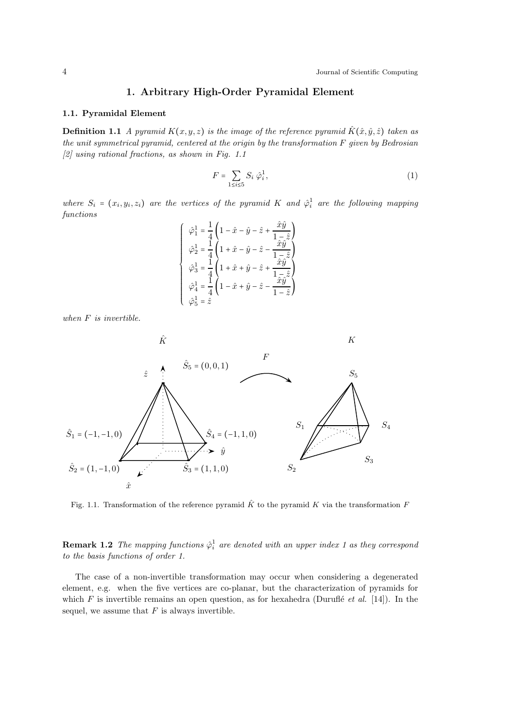# 1. Arbitrary High-Order Pyramidal Element

## 1.1. Pyramidal Element

**Definition 1.1** A pyramid  $K(x,y,z)$  is the image of the reference pyramid  $\hat{K}(\hat{x},\hat{y},\hat{z})$  taken as the unit symmetrical pyramid, centered at the origin by the transformation  $F$  given by Bedrosian [2] using rational fractions, as shown in Fig. 1.1

$$
F = \sum_{1 \le i \le 5} S_i \hat{\varphi}_i^1,\tag{1}
$$

where  $S_i = (x_i, y_i, z_i)$  are the vertices of the pyramid K and  $\hat{\varphi}_i^1$  are the following mapping functions

$$
\begin{cases}\n\hat{\varphi}_1^1 = \frac{1}{4} \left( 1 - \hat{x} - \hat{y} - \hat{z} + \frac{\hat{x}\hat{y}}{1 - \hat{z}} \right) \\
\hat{\varphi}_2^1 = \frac{1}{4} \left( 1 + \hat{x} - \hat{y} - \hat{z} - \frac{\hat{x}\hat{y}}{1 - \hat{z}} \right) \\
\hat{\varphi}_3^1 = \frac{1}{4} \left( 1 + \hat{x} + \hat{y} - \hat{z} + \frac{\hat{x}\hat{y}}{1 - \hat{z}} \right) \\
\hat{\varphi}_4^1 = \frac{1}{4} \left( 1 - \hat{x} + \hat{y} - \hat{z} - \frac{\hat{x}\hat{y}}{1 - \hat{z}} \right) \\
\hat{\varphi}_5^1 = \hat{z}\n\end{cases}
$$

when F is invertible.



Fig. 1.1. Transformation of the reference pyramid  $\hat{K}$  to the pyramid K via the transformation F

**Remark 1.2** The mapping functions  $\hat{\varphi}_i^1$  are denoted with an upper index 1 as they correspond to the basis functions of order 1.

The case of a non-invertible transformation may occur when considering a degenerated element, e.g. when the five vertices are co-planar, but the characterization of pyramids for which  $F$  is invertible remains an open question, as for hexahedra (Duruflé et al. [14]). In the sequel, we assume that  $F$  is always invertible.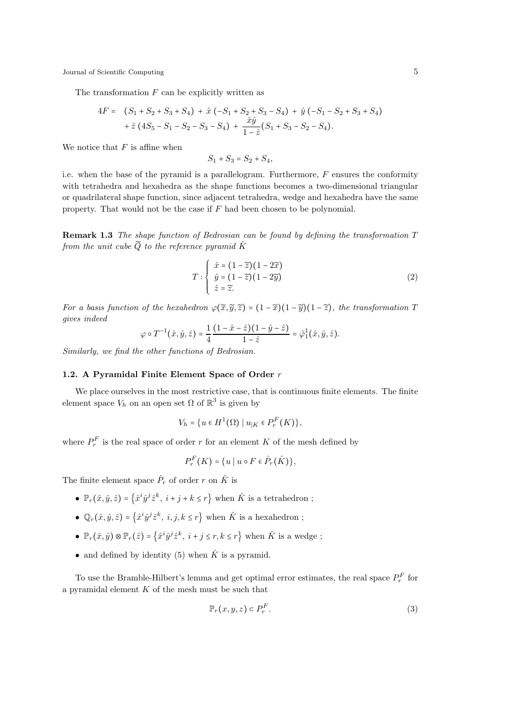The transformation  $F$  can be explicitly written as

$$
4F = (S_1 + S_2 + S_3 + S_4) + \hat{x} (-S_1 + S_2 + S_3 - S_4) + \hat{y} (-S_1 - S_2 + S_3 + S_4)
$$
  
+  $\hat{z} (4S_5 - S_1 - S_2 - S_3 - S_4) + \frac{\hat{x}\hat{y}}{1 - \hat{z}} (S_1 + S_3 - S_2 - S_4).$ 

We notice that  $F$  is affine when

$$
S_1 + S_3 = S_2 + S_4,
$$

i.e. when the base of the pyramid is a parallelogram. Furthermore,  $F$  ensures the conformity with tetrahedra and hexahedra as the shape functions becomes a two-dimensional triangular or quadrilateral shape function, since adjacent tetrahedra, wedge and hexahedra have the same property. That would not be the case if F had been chosen to be polynomial.

Remark 1.3 The shape function of Bedrosian can be found by defining the transformation T from the unit cube  $\widetilde{Q}$  to the reference pyramid  $\hat{K}$ 

$$
T: \begin{cases} \hat{x} = (1 - \tilde{z})(1 - 2\tilde{x}) \\ \hat{y} = (1 - \tilde{z})(1 - 2\tilde{y}) \\ \hat{z} = \tilde{z}. \end{cases}
$$
 (2)

For a basis function of the hexahedron  $\varphi(\tilde{x}, \tilde{y}, \tilde{z}) = (1 - \tilde{x})(1 - \tilde{y})(1 - \tilde{z})$ , the transformation T gives indeed

$$
\varphi \circ T^{-1}(\hat{x}, \hat{y}, \hat{z}) = \frac{1}{4} \frac{(1 - \hat{x} - \hat{z})(1 - \hat{y} - \hat{z})}{1 - \hat{z}} = \hat{\varphi}_1^1(\hat{x}, \hat{y}, \hat{z}).
$$

Similarly, we find the other functions of Bedrosian.

# 1.2. A Pyramidal Finite Element Space of Order r

We place ourselves in the most restrictive case, that is continuous finite elements. The finite element space  $V_h$  on an open set  $\Omega$  of  $\mathbb{R}^3$  is given by

$$
V_h = \{ u \in H^1(\Omega) \mid u_{|K} \in P_r^F(K) \},\
$$

where  $P_r^F$  is the real space of order r for an element K of the mesh defined by

$$
P_r^F(K) = \{u \mid u \circ F \in \hat{P}_r(\hat{K})\},\
$$

The finite element space  $\hat{P}_r$  of order r on  $\hat{K}$  is

- $\mathbb{P}_r(\hat{x}, \hat{y}, \hat{z}) = \left\{\hat{x}^i \hat{y}^j \hat{z}^k, \ i+j+k \leq r \right\}$  when  $\hat{K}$  is a tetrahedron;
- $\mathbb{Q}_r(\hat{x}, \hat{y}, \hat{z}) = \left\{\hat{x}^i \hat{y}^j \hat{z}^k, i, j, k \leq r\right\}$  when  $\hat{K}$  is a hexahedron;
- $\mathbb{P}_r(\hat{x}, \hat{y}) \otimes \mathbb{P}_r(\hat{z}) = \left\{\hat{x}^i \hat{y}^j \hat{z}^k, \ i+j \leq r, k \leq r\right\}$  when  $\hat{K}$  is a wedge;
- and defined by identity (5) when  $\hat{K}$  is a pyramid.

To use the Bramble-Hilbert's lemma and get optimal error estimates, the real space  $P_r^F$  for a pyramidal element  $K$  of the mesh must be such that

$$
\mathbb{P}_r(x, y, z) \subset P_r^F. \tag{3}
$$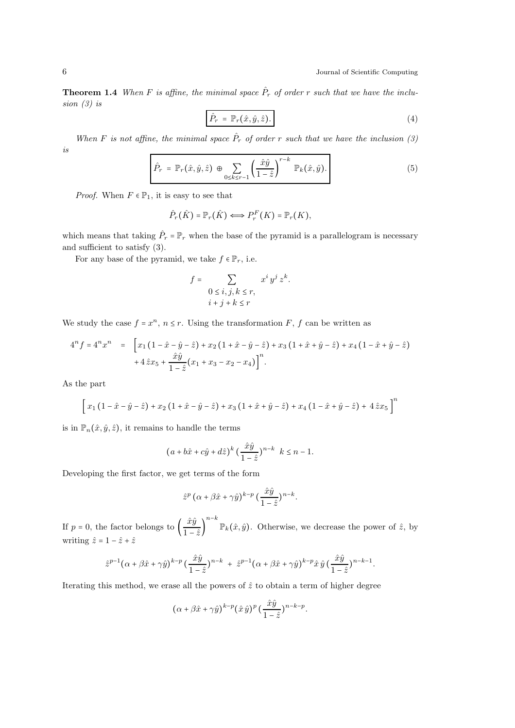**Theorem 1.4** When F is affine, the minimal space  $\hat{P}_r$  of order r such that we have the inclusion (3) is

$$
\hat{P}_r = \mathbb{P}_r(\hat{x}, \hat{y}, \hat{z}). \tag{4}
$$

When F is not affine, the minimal space  $\hat{P}_r$  of order r such that we have the inclusion (3) is

$$
\hat{P}_r = \mathbb{P}_r(\hat{x}, \hat{y}, \hat{z}) \oplus \sum_{0 \le k \le r-1} \left(\frac{\hat{x}\hat{y}}{1-\hat{z}}\right)^{r-k} \mathbb{P}_k(\hat{x}, \hat{y}). \tag{5}
$$

*Proof.* When  $F \in \mathbb{P}_1$ , it is easy to see that

$$
\hat{P}_r(\hat{K}) = \mathbb{P}_r(\hat{K}) \Longleftrightarrow P_r^F(K) = \mathbb{P}_r(K),
$$

which means that taking  $\hat{P}_r = \mathbb{P}_r$  when the base of the pyramid is a parallelogram is necessary and sufficient to satisfy (3).

For any base of the pyramid, we take  $f \in \mathbb{P}_r$ , i.e.

$$
f = \sum_{\begin{array}{c}0 \le i,j,k \le r,\\i+j+k \le r\end{array}} x^i y^j z^k.
$$

We study the case  $f = x^n$ ,  $n \leq r$ . Using the transformation F, f can be written as

$$
4^n f = 4^n x^n = \left[ x_1 \left( 1 - \hat{x} - \hat{y} - \hat{z} \right) + x_2 \left( 1 + \hat{x} - \hat{y} - \hat{z} \right) + x_3 \left( 1 + \hat{x} + \hat{y} - \hat{z} \right) + x_4 \left( 1 - \hat{x} + \hat{y} - \hat{z} \right) + 4 \hat{z} x_5 + \frac{\hat{x} \hat{y}}{1 - \hat{z}} \left( x_1 + x_3 - x_2 - x_4 \right) \right]^n.
$$

As the part

$$
\[x_1(1-\hat{x}-\hat{y}-\hat{z})+x_2(1+\hat{x}-\hat{y}-\hat{z})+x_3(1+\hat{x}+\hat{y}-\hat{z})+x_4(1-\hat{x}+\hat{y}-\hat{z})+4\hat{z}x_5\]^{n}
$$

is in  $\mathbb{P}_n(\hat{x}, \hat{y}, \hat{z})$ , it remains to handle the terms

$$
(a+b\hat{x}+c\hat{y}+d\hat{z})^k\left(\frac{\hat{x}\hat{y}}{1-\hat{z}}\right)^{n-k} \ k\leq n-1.
$$

Developing the first factor, we get terms of the form

$$
\hat{z}^p \left(\alpha + \beta \hat{x} + \gamma \hat{y}\right)^{k-p} \left(\frac{\hat{x}\hat{y}}{1-\hat{z}}\right)^{n-k}.
$$

If  $p = 0$ , the factor belongs to  $\left(\frac{\hat{x}\hat{y}}{1-\hat{y}}\right)$  $\overline{1-\hat{z}}$  $n-k$  $\mathbb{P}_k(\hat{x}, \hat{y})$ . Otherwise, we decrease the power of  $\hat{z}$ , by writing  $\hat{z} = 1 - \hat{z} + \hat{z}$ 

$$
\hat{z}^{p-1}(\alpha+\beta\hat{x}+\gamma\hat{y})^{k-p}(\frac{\hat{x}\hat{y}}{1-\hat{z}})^{n-k} + \hat{z}^{p-1}(\alpha+\beta\hat{x}+\gamma\hat{y})^{k-p}\hat{x}\hat{y}(\frac{\hat{x}\hat{y}}{1-\hat{z}})^{n-k-1}.
$$

Iterating this method, we erase all the powers of  $\hat{z}$  to obtain a term of higher degree

$$
(\alpha + \beta \hat{x} + \gamma \hat{y})^{k-p} (\hat{x} \hat{y})^p (\frac{\hat{x}\hat{y}}{1-\hat{z}})^{n-k-p}.
$$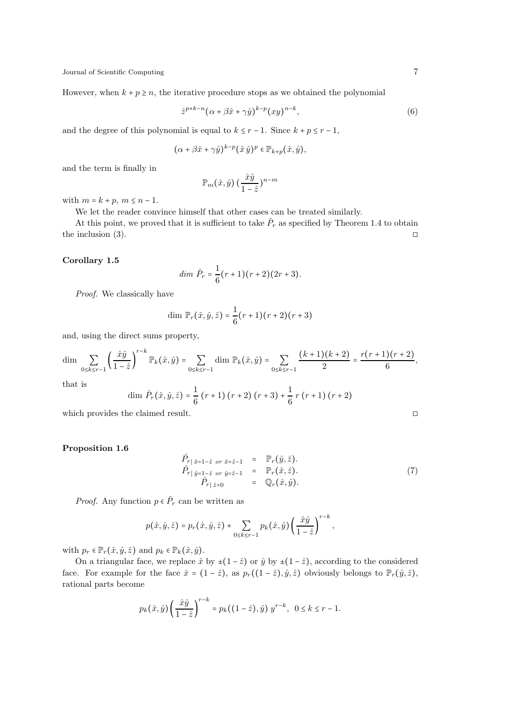However, when  $k + p \ge n$ , the iterative procedure stops as we obtained the polynomial

$$
\hat{z}^{p+k-n}(\alpha+\beta\hat{x}+\gamma\hat{y})^{k-p}(xy)^{n-k},\tag{6}
$$

and the degree of this polynomial is equal to  $k \leq r - 1$ . Since  $k + p \leq r - 1$ ,

$$
(\alpha + \beta \hat{x} + \gamma \hat{y})^{k-p} (\hat{x} \hat{y})^p \in \mathbb{P}_{k+p}(\hat{x}, \hat{y}),
$$

and the term is finally in

$$
\mathbb{P}_m(\hat{x}, \hat{y}) \left(\frac{\hat{x}\hat{y}}{1-\hat{z}}\right)^{n-m}
$$

with  $m = k + p$ ,  $m \leq n - 1$ .

We let the reader convince himself that other cases can be treated similarly.

At this point, we proved that it is sufficient to take  $\hat{P}_r$  as specified by Theorem 1.4 to obtain the inclusion (3).  $\Box$ 

### Corollary 1.5

$$
dim \ \hat{P}_r = \frac{1}{6}(r+1)(r+2)(2r+3).
$$

Proof. We classically have

dim 
$$
\mathbb{P}_r(\hat{x}, \hat{y}, \hat{z}) = \frac{1}{6}(r+1)(r+2)(r+3)
$$

and, using the direct sums property,

$$
\dim \sum_{0 \le k \le r-1} \left( \frac{\hat{x}\hat{y}}{1-\hat{z}} \right)^{r-k} \mathbb{P}_k(\hat{x}, \hat{y}) = \sum_{0 \le k \le r-1} \dim \mathbb{P}_k(\hat{x}, \hat{y}) = \sum_{0 \le k \le r-1} \frac{(k+1)(k+2)}{2} = \frac{r(r+1)(r+2)}{6},
$$
\nthat is

$$
\dim \hat{P}_r(\hat{x}, \hat{y}, \hat{z}) = \frac{1}{6} (r+1) (r+2) (r+3) + \frac{1}{6} r (r+1) (r+2)
$$

which provides the claimed result. □

## Proposition 1.6

$$
\hat{P}_{r | \hat{x}=1-\hat{z} \text{ or } \hat{x}=\hat{z}-1} = \mathbb{P}_{r}(\hat{y}, \hat{z}). \n\hat{P}_{r | \hat{y}=1-\hat{z} \text{ or } \hat{y}=\hat{z}-1} = \mathbb{P}_{r}(\hat{x}, \hat{z}). \n\hat{P}_{r | \hat{z}=0} = \mathbb{Q}_{r}(\hat{x}, \hat{y}).
$$
\n(7)

*Proof.* Any function  $p \in \hat{P}_r$  can be written as

$$
p(\hat{x}, \hat{y}, \hat{z}) = p_r(\hat{x}, \hat{y}, \hat{z}) + \sum_{0 \le k \le r-1} p_k(\hat{x}, \hat{y}) \left(\frac{\hat{x}\hat{y}}{1-\hat{z}}\right)^{r-k},
$$

with  $p_r \in \mathbb{P}_r(\hat{x}, \hat{y}, \hat{z})$  and  $p_k \in \mathbb{P}_k(\hat{x}, \hat{y})$ .

On a triangular face, we replace  $\hat{x}$  by  $\pm(1-\hat{z})$  or  $\hat{y}$  by  $\pm(1-\hat{z})$ , according to the considered face. For example for the face  $\hat{x} = (1 - \hat{z})$ , as  $p_r((1 - \hat{z}), \hat{y}, \hat{z})$  obviously belongs to  $\mathbb{P}_r(\hat{y}, \hat{z})$ , rational parts become

$$
p_k(\hat{x}, \hat{y}) \left(\frac{\hat{x}\hat{y}}{1-\hat{z}}\right)^{r-k} = p_k((1-\hat{z}), \hat{y}) y^{r-k}, \ \ 0 \le k \le r-1.
$$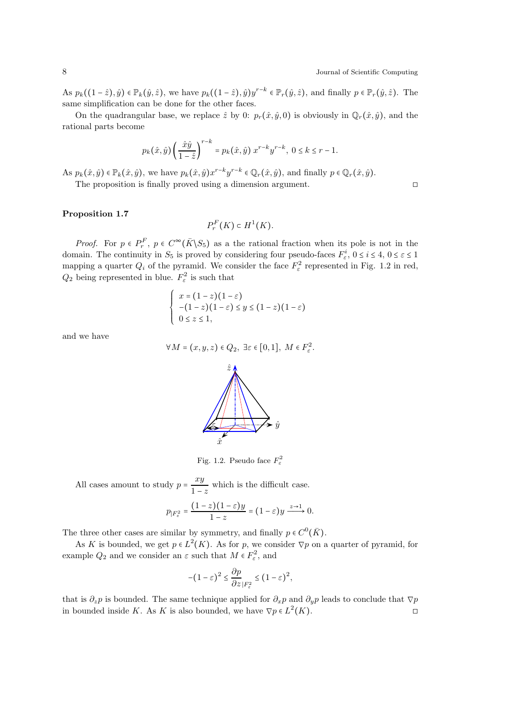As  $p_k((1-\hat{z}), \hat{y}) \in \mathbb{P}_k(\hat{y}, \hat{z})$ , we have  $p_k((1-\hat{z}), \hat{y})y^{r-k} \in \mathbb{P}_r(\hat{y}, \hat{z})$ , and finally  $p \in \mathbb{P}_r(\hat{y}, \hat{z})$ . The same simplification can be done for the other faces.

On the quadrangular base, we replace  $\hat{z}$  by 0:  $p_r(\hat{x}, \hat{y}, 0)$  is obviously in  $\mathbb{Q}_r(\hat{x}, \hat{y})$ , and the rational parts become

$$
p_k(\hat{x}, \hat{y}) \left(\frac{\hat{x}\hat{y}}{1-\hat{z}}\right)^{r-k} = p_k(\hat{x}, \hat{y}) x^{r-k} y^{r-k}, \ 0 \le k \le r-1.
$$

As  $p_k(\hat{x}, \hat{y}) \in \mathbb{P}_k(\hat{x}, \hat{y})$ , we have  $p_k(\hat{x}, \hat{y})x^{r-k}y^{r-k} \in \mathbb{Q}_r(\hat{x}, \hat{y})$ , and finally  $p \in \mathbb{Q}_r(\hat{x}, \hat{y})$ .

The proposition is finally proved using a dimension argument. □

## Proposition 1.7

$$
P_r^F(K) \subset H^1(K).
$$

*Proof.* For  $p \in P_r^F$ ,  $p \in C^{\infty}(\bar{K} \setminus S_5)$  as a the rational fraction when its pole is not in the domain. The continuity in  $S_5$  is proved by considering four pseudo-faces  $F^i_{\varepsilon}$ ,  $0 \le i \le 4$ ,  $0 \le \varepsilon \le 1$ mapping a quarter  $Q_i$  of the pyramid. We consider the face  $F_{\varepsilon}^2$ <sup>2</sup> represented in Fig. 1.2 in red,  $Q_2$  being represented in blue.  $F_\varepsilon^2$  $\epsilon^2$  is such that

$$
\begin{cases}\n x = (1-z)(1-\varepsilon) \\
 -(1-z)(1-\varepsilon) \le y \le (1-z)(1-\varepsilon) \\
 0 \le z \le 1,\n\end{cases}
$$

and we have

$$
\forall M = (x, y, z) \in Q_2, \exists \varepsilon \in [0, 1], M \in F_{\varepsilon}^2.
$$



All cases amount to study  $p = \frac{xy}{1}$  $\frac{w}{1-z}$  which is the difficult case.

$$
p_{|F_{\varepsilon}^2} = \frac{(1-z)(1-\varepsilon)y}{1-z} = (1-\varepsilon)y \xrightarrow{z \to 1} 0.
$$

The three other cases are similar by symmetry, and finally  $p \in C^0(\overline{K})$ .

As K is bounded, we get  $p \in L^2(K)$ . As for p, we consider  $\nabla p$  on a quarter of pyramid, for example  $Q_2$  and we consider an  $\varepsilon$  such that  $M \in F_{\varepsilon}^2$  $\epsilon^2$ , and

$$
-(1-\varepsilon)^2\leq \frac{\partial p}{\partial z}_{|F_{\varepsilon}^2}\leq \big(1-\varepsilon\big)^2,
$$

that is  $\partial_z p$  is bounded. The same technique applied for  $\partial_x p$  and  $\partial_y p$  leads to conclude that  $\nabla p$ in bounded inside K. As K is also bounded, we have  $\nabla p \in L^2(K)$ .

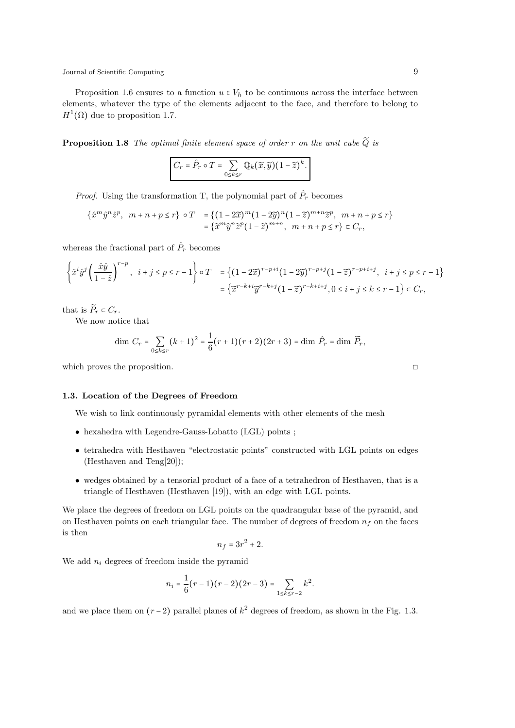Proposition 1.6 ensures to a function  $u \in V_h$  to be continuous across the interface between elements, whatever the type of the elements adjacent to the face, and therefore to belong to  $H^1(\Omega)$  due to proposition 1.7.

**Proposition 1.8** The optimal finite element space of order r on the unit cube  $\widetilde{Q}$  is

$$
C_r = \hat{P}_r \circ T = \sum_{0 \le k \le r} \mathbb{Q}_k(\widetilde{x}, \widetilde{y})(1-\widetilde{z})^k.
$$

*Proof.* Using the transformation T, the polynomial part of  $\hat{P}_r$  becomes

$$
\begin{aligned} \{\hat{x}^m \hat{y}^n \hat{z}^p, \ m+n+p \leq r\} \circ T &= \{ (1-2\widetilde{x})^m (1-2\widetilde{y})^n (1-\widetilde{z})^{m+n} \widetilde{z}^p, \ m+n+p \leq r \} \\ &= \{ \widetilde{x}^m \widetilde{y}^n \widetilde{z}^p (1-\widetilde{z})^{m+n}, \ m+n+p \leq r \} \subset C_r, \end{aligned}
$$

whereas the fractional part of  $\hat{P}_r$  becomes

$$
\left\{\hat{x}^i \hat{y}^j \left(\frac{\hat{x}\hat{y}}{1-\hat{z}}\right)^{r-p}, \ i+j \leq p \leq r-1\right\} \circ T = \left\{(1-2\widetilde{x})^{r-p+i} (1-2\widetilde{y})^{r-p+j} (1-\widetilde{z})^{r-p+i+j}, \ i+j \leq p \leq r-1\right\}
$$

$$
= \left\{\widetilde{x}^{r-k+i} \widetilde{y}^{r-k+j} (1-\widetilde{z})^{r-k+i+j}, 0 \leq i+j \leq k \leq r-1\right\} \subset C_r,
$$

that is  $\widetilde{P}_r \subset C_r$ .

We now notice that

$$
\dim C_r = \sum_{0 \le k \le r} (k+1)^2 = \frac{1}{6} (r+1)(r+2)(2r+3) = \dim \hat{P}_r = \dim \widetilde{P}_r,
$$

which proves the proposition. □

# 1.3. Location of the Degrees of Freedom

We wish to link continuously pyramidal elements with other elements of the mesh

- hexahedra with Legendre-Gauss-Lobatto (LGL) points ;
- tetrahedra with Hesthaven "electrostatic points" constructed with LGL points on edges (Hesthaven and Teng[20]);
- wedges obtained by a tensorial product of a face of a tetrahedron of Hesthaven, that is a triangle of Hesthaven (Hesthaven [19]), with an edge with LGL points.

We place the degrees of freedom on LGL points on the quadrangular base of the pyramid, and on Hesthaven points on each triangular face. The number of degrees of freedom  $n_f$  on the faces is then

$$
n_f = 3r^2 + 2.
$$

We add  $n_i$  degrees of freedom inside the pyramid

$$
n_i = \frac{1}{6}(r-1)(r-2)(2r-3) = \sum_{1 \le k \le r-2} k^2.
$$

and we place them on  $(r-2)$  parallel planes of  $k^2$  degrees of freedom, as shown in the Fig. 1.3.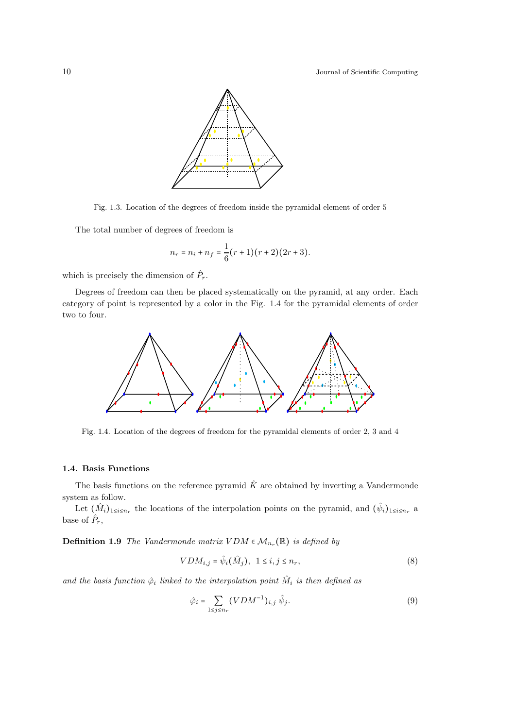

Fig. 1.3. Location of the degrees of freedom inside the pyramidal element of order 5

The total number of degrees of freedom is

$$
n_r = n_i + n_f = \frac{1}{6}(r+1)(r+2)(2r+3).
$$

which is precisely the dimension of  $\hat{P}_r$ .

Degrees of freedom can then be placed systematically on the pyramid, at any order. Each category of point is represented by a color in the Fig. 1.4 for the pyramidal elements of order two to four.



Fig. 1.4. Location of the degrees of freedom for the pyramidal elements of order 2, 3 and 4

# 1.4. Basis Functions

The basis functions on the reference pyramid  $\hat{K}$  are obtained by inverting a Vandermonde system as follow.

Let  $(\hat{M}_i)_{1\leq i\leq n_r}$  the locations of the interpolation points on the pyramid, and  $(\hat{\psi}_i)_{1\leq i\leq n_r}$  a base of  $\hat{P}_r$ ,

**Definition 1.9** The Vandermonde matrix  $VDM \in M_{n_r}(\mathbb{R})$  is defined by

$$
VDM_{i,j} = \hat{\psi}_i(\hat{M}_j), \quad 1 \le i, j \le n_r,
$$
\n<sup>(8)</sup>

and the basis function  $\hat{\varphi}_i$  linked to the interpolation point  $\hat{M}_i$  is then defined as

$$
\hat{\varphi}_i = \sum_{1 \le j \le n_r} (VDM^{-1})_{i,j} \hat{\psi}_j. \tag{9}
$$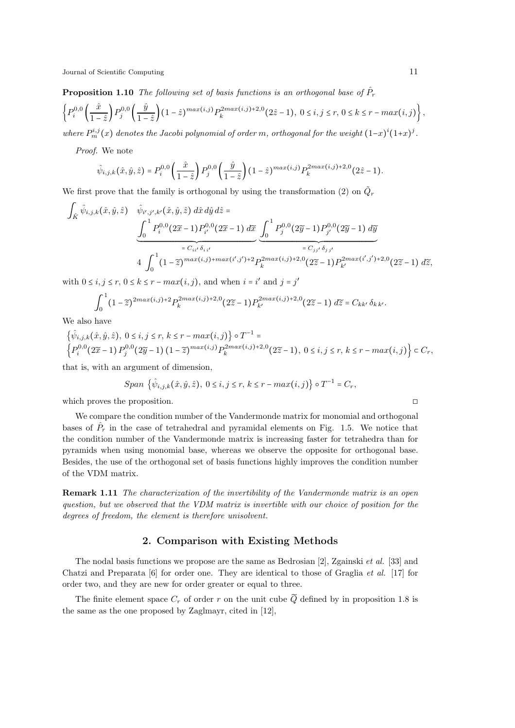**Proposition 1.10** The following set of basis functions is an orthogonal base of  $\hat{P}_r$ 

$$
\left\{P_i^{0,0}\left(\frac{\hat{x}}{1-\hat{z}}\right)P_j^{0,0}\left(\frac{\hat{y}}{1-\hat{z}}\right)(1-\hat{z})^{max(i,j)}P_k^{2max(i,j)+2,0}(2\hat{z}-1),\ 0\leq i,j\leq r,\ 0\leq k\leq r-max(i,j)\right\},\
$$

where  $P_m^{i,j}(x)$  denotes the Jacobi polynomial of order m, orthogonal for the weight  $(1-x)^i(1+x)^j$ .

Proof. We note

$$
\hat{\psi}_{i,j,k}(\hat{x},\hat{y},\hat{z}) = P_i^{0,0}\left(\frac{\hat{x}}{1-\hat{z}}\right)P_j^{0,0}\left(\frac{\hat{y}}{1-\hat{z}}\right)(1-\hat{z})^{max(i,j)}P_k^{2max(i,j)+2,0}(2\hat{z}-1).
$$

We first prove that the family is orthogonal by using the transformation (2) on  $\tilde{Q}_r$ 

$$
\int_{\hat{K}} \hat{\psi}_{i,j,k}(\hat{x}, \hat{y}, \hat{z}) \quad \hat{\psi}_{i',j',k'}(\hat{x}, \hat{y}, \hat{z}) \, d\hat{x} \, d\hat{y} \, d\hat{z} =
$$
\n
$$
\underbrace{\int_{0}^{1} P_{i}^{0,0}(2\tilde{x} - 1) P_{i'}^{0,0}(2\tilde{x} - 1) \, d\tilde{x}}_{= C_{ii'} \delta_{ii'}} \underbrace{\int_{0}^{1} P_{j}^{0,0}(2\tilde{y} - 1) P_{j'}^{0,0}(2\tilde{y} - 1) \, d\tilde{y}}_{= C_{jj'} \delta_{jj'}}}{= C_{jj'} \delta_{jj'}}
$$
\n
$$
4 \int_{0}^{1} (1 - \tilde{z})^{\max(i,j) + \max(i',j') + 2} P_{k}^{2\max(i,j) + 2,0}(2\tilde{z} - 1) P_{k'}^{2\max(i',j') + 2,0}(2\tilde{z} - 1) \, d\tilde{z},
$$

with  $0 \le i, j \le r, 0 \le k \le r - max(i, j)$ , and when  $i = i'$  and  $j = j'$ 

$$
\int_0^1 (1-\widetilde{z})^{2max(i,j)+2} P_k^{2max(i,j)+2,0} (2\widetilde{z}-1) P_{k'}^{2max(i,j)+2,0} (2\widetilde{z}-1) \ d\widetilde{z} = C_{kk'} \delta_{k\,k'}.
$$

We also have

$$
\{\hat{\psi}_{i,j,k}(\hat{x}, \hat{y}, \hat{z}), \ 0 \le i, j \le r, \ k \le r - \max(i, j)\} \circ T^{-1} = \left\{P_i^{0,0}(2\widetilde{x} - 1) P_j^{0,0}(2\widetilde{y} - 1) (1 - \widetilde{z})^{\max(i, j)} P_k^{2\max(i, j) + 2, 0}(2\widetilde{z} - 1), \ 0 \le i, j \le r, \ k \le r - \max(i, j)\right\} \subset C_r,
$$

that is, with an argument of dimension,

Span 
$$
\{\hat{\psi}_{i,j,k}(\hat{x}, \hat{y}, \hat{z}), 0 \le i, j \le r, k \le r - max(i,j)\} \circ T^{-1} = C_r
$$
,

which proves the proposition. □

We compare the condition number of the Vandermonde matrix for monomial and orthogonal bases of  $\hat{P}_r$  in the case of tetrahedral and pyramidal elements on Fig. 1.5. We notice that the condition number of the Vandermonde matrix is increasing faster for tetrahedra than for pyramids when using monomial base, whereas we observe the opposite for orthogonal base. Besides, the use of the orthogonal set of basis functions highly improves the condition number of the VDM matrix.

Remark 1.11 The characterization of the invertibility of the Vandermonde matrix is an open question, but we observed that the VDM matrix is invertible with our choice of position for the degrees of freedom, the element is therefore unisolvent.

### 2. Comparison with Existing Methods

The nodal basis functions we propose are the same as Bedrosian [2], Zgainski et al. [33] and Chatzi and Preparata  $[6]$  for order one. They are identical to those of Graglia *et al.* [17] for order two, and they are new for order greater or equal to three.

The finite element space  $C_r$  of order r on the unit cube  $\widetilde{Q}$  defined by in proposition 1.8 is the same as the one proposed by Zaglmayr, cited in [12],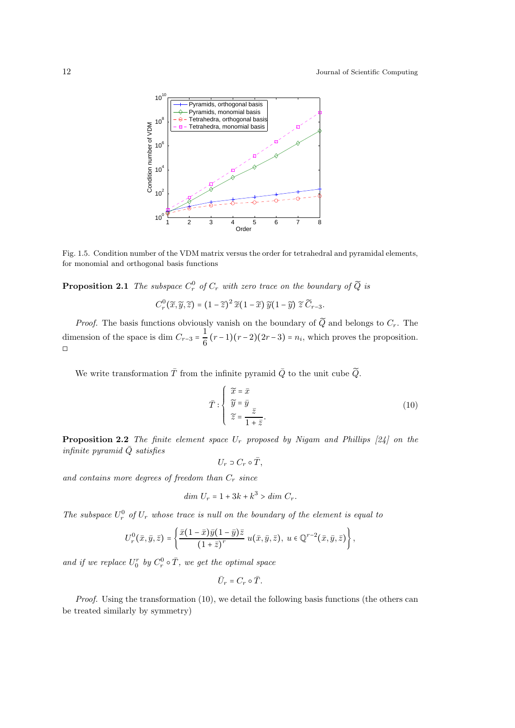

Fig. 1.5. Condition number of the VDM matrix versus the order for tetrahedral and pyramidal elements, for monomial and orthogonal basis functions

**Proposition 2.1** The subspace  $C_r^0$  of  $C_r$  with zero trace on the boundary of  $\widetilde{Q}$  is

$$
C_r^0(\widetilde{x}, \widetilde{y}, \widetilde{z}) = (1 - \widetilde{z})^2 \widetilde{x}(1 - \widetilde{x}) \widetilde{y}(1 - \widetilde{y}) \widetilde{z} \widetilde{C}_{r-3}.
$$

*Proof.* The basis functions obviously vanish on the boundary of  $\widetilde{Q}$  and belongs to  $C_r$ . The dimension of the space is dim  $C_{r-3} = \frac{1}{c}$  $\frac{1}{6}(r-1)(r-2)(2r-3) = n_i$ , which proves the proposition. ◻

We write transformation  $\overline{T}$  from the infinite pyramid  $\overline{Q}$  to the unit cube  $\widetilde{Q}$ .

$$
\bar{T} : \begin{cases} \widetilde{x} = \bar{x} \\ \widetilde{y} = \bar{y} \\ \widetilde{z} = \frac{\bar{z}}{1 + \bar{z}}. \end{cases}
$$
\n(10)

**Proposition 2.2** The finite element space  $U_r$  proposed by Nigam and Phillips [24] on the infinite pyramid  $\overline{Q}$  satisfies

$$
U_r\supset C_r\circ\bar{T},
$$

and contains more degrees of freedom than  $C_r$  since

$$
dim U_r = 1 + 3k + k^3 > dim C_r.
$$

The subspace  $U_r^0$  of  $U_r$  whose trace is null on the boundary of the element is equal to

$$
U_r^0(\bar{x},\bar{y},\bar{z})=\left\{\frac{\bar{x}(1-\bar{x})\bar{y}(1-\bar{y})\bar{z}}{(1+\bar{z})^r}u(\bar{x},\bar{y},\bar{z}),\;u\in\mathbb{Q}^{r-2}(\bar{x},\bar{y},\bar{z})\right\},\;
$$

and if we replace  $U_0^r$  by  $C_r^0$  $r_r^0 \circ \bar{T}$ , we get the optimal space

$$
\bar{U}_r=C_r\circ\bar{T}.
$$

*Proof.* Using the transformation  $(10)$ , we detail the following basis functions (the others can be treated similarly by symmetry)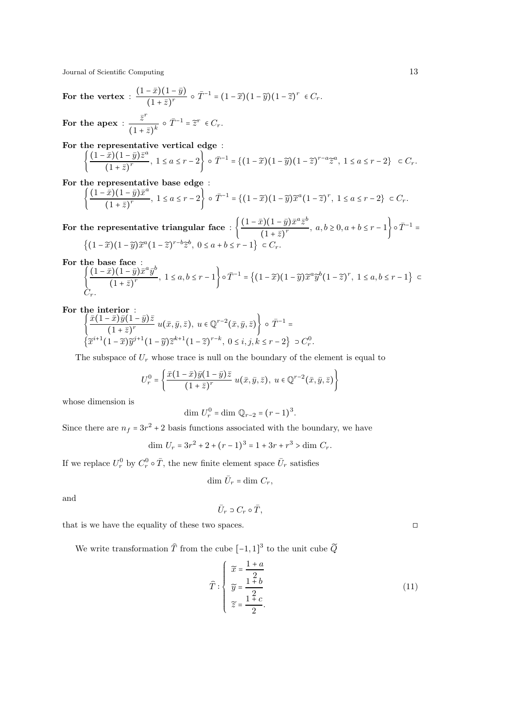For the vertex : 
$$
\frac{(1-\bar{x})(1-\bar{y})}{(1+\bar{z})^r} \circ \bar{T}^{-1} = (1-\widetilde{x})(1-\widetilde{y})(1-\widetilde{z})^r \in C_r.
$$
  
For the apex : 
$$
\frac{\bar{z}^r}{(1+\bar{z})^k} \circ \bar{T}^{-1} = \widetilde{z}^r \in C_r.
$$

For the representative vertical edge :<br>  $\left( \begin{array}{cc} (1-\bar{x})(1-\bar{x})\bar{z}^a & 1 \end{array} \right)$ 

$$
\left\{\frac{(1-\bar{x})(1-\bar{y})\bar{z}^a}{(1+\bar{z})^r}, 1 \le a \le r-2\right\} \circ \bar{T}^{-1} = \left\{(1-\widetilde{x})(1-\widetilde{y})(1-\widetilde{z})^{r-a}\widetilde{z}^a, 1 \le a \le r-2\right\} \subset C_r.
$$

For the representative base edge :<br> $\left( \begin{array}{cc} (1-\bar{x})(1-\bar{y})\bar{x}^a \end{array} \right)$ 

$$
\frac{(1-\bar{x})(1-\bar{y})\bar{x}^a}{(1+\bar{z})^r}, 1 \le a \le r-2\bigg\} \circ \bar{T}^{-1} = \{ (1-\widetilde{x})(1-\widetilde{y})\widetilde{x}^a (1-\widetilde{z})^r, 1 \le a \le r-2 \} \subset C_r.
$$

For the representative triangular face :  $\left\{\frac{(1-\bar{x})(1-\bar{y})\bar{x}^a\bar{z}^b}{(1+\bar{z})^r}\right\}$  $\frac{(c)(1-y)x^2}{(1+\bar{z})^r}$ ,  $a, b \ge 0, a+b \le r-1$   $\Big\} \circ \bar{T}^{-1} =$  $\{(1-\widetilde{x})(1-\widetilde{y})\widetilde{x}^a(1-\widetilde{z})^{r-b}\widetilde{z}^b, 0 \le a+b \le r-1\} \subset C_r.$ 

For the base face :

 $\mathcal{L}$ 

$$
\left\{ \frac{(1-\bar{x})(1-\bar{y})\bar{x}^a \bar{y}^b}{(1+\bar{z})^r}, 1 \le a, b \le r-1 \right\} \circ \bar{T}^{-1} = \left\{ (1-\widetilde{x})(1-\widetilde{y})\widetilde{x}^a \widetilde{y}^b (1-\widetilde{z})^r, 1 \le a, b \le r-1 \right\} \subset C_r.
$$

For the interior :

$$
\left\{\frac{\bar{x}(1-\bar{x})\bar{y}(1-\bar{y})\bar{z}}{(1+\bar{z})^r}u(\bar{x},\bar{y},\bar{z}),\ u\in\mathbb{Q}^{r-2}(\bar{x},\bar{y},\bar{z})\right\}\circ\bar{T}^{-1}=\left\{\widetilde{x}^{i+1}(1-\widetilde{x})\widetilde{y}^{j+1}(1-\widetilde{y})\widetilde{z}^{k+1}(1-\widetilde{z})^{r-k},\ 0\leq i,j,k\leq r-2\right\}\supset C_r^0.
$$

The subspace of  $U_r$  whose trace is null on the boundary of the element is equal to

$$
U_r^0 = \left\{ \frac{\bar{x}(1-\bar{x})\bar{y}(1-\bar{y})\bar{z}}{(1+\bar{z})^r} u(\bar{x}, \bar{y}, \bar{z}), u \in \mathbb{Q}^{r-2}(\bar{x}, \bar{y}, \bar{z}) \right\}
$$

whose dimension is

$$
\dim U_r^0 = \dim \mathbb{Q}_{r-2} = (r-1)^3
$$
.

Since there are  $n_f = 3r^2 + 2$  basis functions associated with the boundary, we have

$$
\dim U_r = 3r^2 + 2 + (r - 1)^3 = 1 + 3r + r^3 > \dim C_r.
$$

If we replace  $U_r^0$  by  $C_r^0$  $r^0 \circ \bar{T}$ , the new finite element space  $\bar{U}_r$  satisfies

$$
\dim \bar{U}_r = \dim C_r,
$$

and

$$
\bar{U}_r \ni C_r \circ \bar{T},
$$

that is we have the equality of these two spaces.  $\Box$ 

We write transformation  $\widehat{T}$  from the cube  $\left[-1,1\right]^3$  to the unit cube  $\widetilde{Q}$ 

$$
\widehat{T}: \begin{cases}\n\widetilde{x} = \frac{1+a}{2} \\
\widetilde{y} = \frac{1+b}{2} \\
\widetilde{z} = \frac{1+c}{2}.\n\end{cases}
$$
\n(11)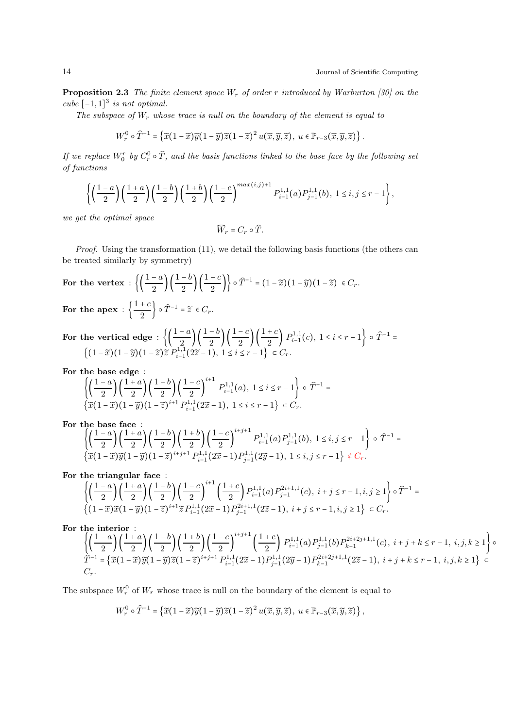**Proposition 2.3** The finite element space  $W_r$  of order r introduced by Warburton [30] on the cube  $[-1,1]^3$  is not optimal.

The subspace of  $W_r$  whose trace is null on the boundary of the element is equal to

$$
W_r^0 \circ \widehat{T}^{-1} = \left\{ \widetilde{x}(1-\widetilde{x})\widetilde{y}(1-\widetilde{y})\widetilde{z}(1-\widetilde{z})^2\,u(\widetilde{x},\widetilde{y},\widetilde{z}),\ u\in \mathbb{P}_{r-3}(\widetilde{x},\widetilde{y},\widetilde{z}) \right\}.
$$

If we replace  $W_0^r$  by  $C_r^0$  $_{r}^{\omega}\circ T$ , and the basis functions linked to the base face by the following set of functions

$$
\left\{\left(\frac{1-a}{2}\right)\left(\frac{1+a}{2}\right)\left(\frac{1-b}{2}\right)\left(\frac{1+b}{2}\right)\left(\frac{1-c}{2}\right)^{\max(i,j)+1}P_{i-1}^{1,1}(a)P_{j-1}^{1,1}(b),\ 1\le i,j\le r-1\right\},
$$

we get the optimal space

$$
\widehat{W}_r = C_r \circ \widehat{T}.
$$

Proof. Using the transformation (11), we detail the following basis functions (the others can be treated similarly by symmetry)

For the vertex : 
$$
\left\{ \left( \frac{1-a}{2} \right) \left( \frac{1-b}{2} \right) \left( \frac{1-c}{2} \right) \right\} \circ \hat{T}^{-1} = (1-\tilde{x})(1-\tilde{y})(1-\tilde{z}) \in C_r.
$$
  
For the energy :  $\left\{ \left( \frac{1+c}{2} \right) \circ \hat{T}^{-1} - \tilde{z} \in C_r \right\}$ 

For the apex :  $\Big\{\frac{1+c}{2}\Big\}$  $\left\{\frac{+c}{2}\right\} \circ \widehat{T}^{-1} = \widetilde{z} \in C_r.$ 

For the vertical edge :  $\left\{\left(\frac{1-a}{2}\right)\left(\frac{1-b}{2}\right)\left(\frac{1-c}{2}\right)\left(\frac{1+c}{2}\right)P_{i-1}^{1,1}(c), 1 \le i \le r-1\right\} \circ \widehat{T}^{-1} =$  $\{(1-\tilde{x})(1-\tilde{y})(1-\tilde{z})\tilde{z}P_{i-1}^{1,1}(2\tilde{z}-1), 1 \le i \le r-1\} \subset C_r.$ 

For the base edge :

$$
\left\{ \left( \frac{1-a}{2} \right) \left( \frac{1+a}{2} \right) \left( \frac{1-b}{2} \right) \left( \frac{1-c}{2} \right)^{i+1} P_{i-1}^{1,1}(a), 1 \le i \le r-1 \right\} \circ \widehat{T}^{-1} = \left\{ \widetilde{x}(1-\widetilde{x})(1-\widetilde{y})(1-\widetilde{z})^{i+1} P_{i-1}^{1,1}(2\widetilde{x}-1), 1 \le i \le r-1 \right\} \subset C_r.
$$

For the base face :

$$
\left\{\left(\frac{1-a}{2}\right)\left(\frac{1+a}{2}\right)\left(\frac{1-b}{2}\right)\left(\frac{1+b}{2}\right)\left(\frac{1-c}{2}\right)^{i+j+1}P_{i-1}^{1,1}(a)P_{j-1}^{1,1}(b), 1 \le i, j \le r-1\right\} \circ \widehat{T}^{-1} = \left\{\widetilde{x}(1-\widetilde{x})\widetilde{y}(1-\widetilde{y})(1-\widetilde{z})^{i+j+1}P_{i-1}^{1,1}(2\widetilde{x}-1)P_{j-1}^{1,1}(2\widetilde{y}-1), 1 \le i, j \le r-1\right\} \notin C_r.
$$

For the triangular face : 
$$
\overline{a}
$$

$$
\left\{ \left( \frac{1-a}{2} \right) \left( \frac{1+a}{2} \right) \left( \frac{1-b}{2} \right) \left( \frac{1-c}{2} \right)^{i+1} \left( \frac{1+c}{2} \right) P_{i-1}^{1,1}(a) P_{j-1}^{2i+1,1}(c), \ i+j \leq r-1, i, j \geq 1 \right\} \circ \widehat{T}^{-1} = \left\{ (1-\widetilde{x}) \widetilde{x} (1-\widetilde{y}) (1-\widetilde{z})^{i+1} \widetilde{z} P_{i-1}^{1,1}(2\widetilde{x}-1) P_{j-1}^{2i+1,1}(2\widetilde{z}-1), \ i+j \leq r-1, i, j \geq 1 \right\} \subset C_r.
$$

For the interior :

$$
\left\{\left(\frac{1-a}{2}\right)\left(\frac{1+a}{2}\right)\left(\frac{1-b}{2}\right)\left(\frac{1-b}{2}\right)\left(\frac{1-c}{2}\right)^{i+j+1}\left(\frac{1+c}{2}\right)P_{i-1}^{1,1}(a)P_{j-1}^{1,1}(b)P_{k-1}^{2i+2j+1,1}(c),\ i+j+k \leq r-1,\ i,j,k \geq 1\right\} \circ
$$
  

$$
\hat{T}^{-1} = \left\{\widetilde{x}(1-\widetilde{x})\widetilde{y}(1-\widetilde{y})\widetilde{z}(1-\widetilde{z})^{i+j+1}P_{i-1}^{1,1}(2\widetilde{x}-1)P_{j-1}^{1,1}(2\widetilde{y}-1)P_{k-1}^{2i+2j+1,1}(2\widetilde{z}-1),\ i+j+k \leq r-1,\ i,j,k \geq 1\right\} \subset
$$
  

$$
C_r.
$$

The subspace  $W_r^0$  of  $W_r$  whose trace is null on the boundary of the element is equal to

$$
W_r^0\circ \widehat{T}^{-1}=\left\{\widetilde{x}\big(1-\widetilde{x}\big)\widetilde{y}\big(1-\widetilde{y}\big)\widetilde{z}\big(1-\widetilde{z}\big)^2\,u\big(\widetilde{x},\widetilde{y},\widetilde{z}\big),\,\,u\in \mathbb P_{r-3}\big(\widetilde{x},\widetilde{y},\widetilde{z}\big)\right\},
$$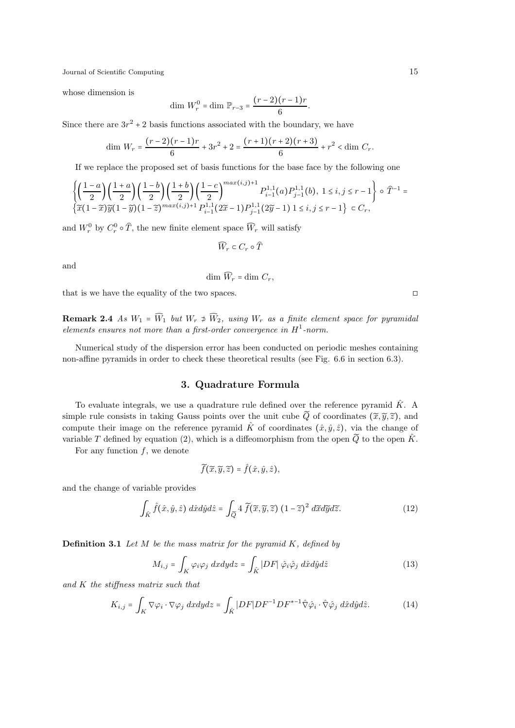whose dimension is

$$
\dim W_r^0 = \dim \mathbb{P}_{r-3} = \frac{(r-2)(r-1)r}{6}.
$$

Since there are  $3r^2 + 2$  basis functions associated with the boundary, we have

$$
\dim W_r = \frac{(r-2)(r-1)r}{6} + 3r^2 + 2 = \frac{(r+1)(r+2)(r+3)}{6} + r^2 < \dim C_r.
$$

If we replace the proposed set of basis functions for the base face by the following one

$$
\left\{\left(\frac{1-a}{2}\right)\left(\frac{1+a}{2}\right)\left(\frac{1-b}{2}\right)\left(\frac{1+b}{2}\right)\left(\frac{1-c}{2}\right)^{max(i,j)+1}P_{i-1}^{1,1}(a)P_{j-1}^{1,1}(b), 1 \le i, j \le r-1\right\} \circ \hat{T}^{-1} = \left\{\widetilde{x}(1-\widetilde{x})\widetilde{y}(1-\widetilde{y})(1-\widetilde{z})^{max(i,j)+1}P_{i-1}^{1,1}(2\widetilde{x}-1)P_{j-1}^{1,1}(2\widetilde{y}-1) 1 \le i, j \le r-1\right\} \subset C_r,
$$

and  $W_r^0$  by  $C_r^0$  $r^0$  o T, the new finite element space  $W_r$  will satisfy

$$
\widehat{W}_r\in C_r\circ\widehat{T}
$$

and

$$
\dim \widehat{W}_r = \dim C_r,
$$

that is we have the equality of the two spaces. □

**Remark 2.4** As  $W_1 = \widehat{W}_1$  but  $W_r \neq \widehat{W}_2$ , using  $W_r$  as a finite element space for pyramidal elements ensures not more than a first-order convergence in  $H^1$ -norm.

Numerical study of the dispersion error has been conducted on periodic meshes containing non-affine pyramids in order to check these theoretical results (see Fig. 6.6 in section 6.3).

# 3. Quadrature Formula

To evaluate integrals, we use a quadrature rule defined over the reference pyramid  $\hat{K}$ . A simple rule consists in taking Gauss points over the unit cube  $\widetilde{Q}$  of coordinates  $(\widetilde{x}, \widetilde{y}, \widetilde{z})$ , and compute their image on the reference pyramid  $\hat{K}$  of coordinates  $(\hat{x}, \hat{y}, \hat{z})$ , via the change of variable T defined by equation (2), which is a diffeomorphism from the open  $\tilde{Q}$  to the open  $\hat{K}$ .

For any function  $f$ , we denote

$$
\widetilde{f}(\widetilde{x},\widetilde{y},\widetilde{z})=\widehat{f}(\hat{x},\hat{y},\hat{z}),
$$

and the change of variable provides

$$
\int_{\hat{K}} \hat{f}(\hat{x}, \hat{y}, \hat{z}) \, d\hat{x} d\hat{y} d\hat{z} = \int_{\widetilde{Q}} 4 \, \widetilde{f}(\widetilde{x}, \widetilde{y}, \widetilde{z}) \, (1 - \widetilde{z})^2 \, d\widetilde{x} d\widetilde{y} d\widetilde{z}.
$$
 (12)

**Definition 3.1** Let  $M$  be the mass matrix for the pyramid  $K$ , defined by

$$
M_{i,j} = \int_{K} \varphi_{i} \varphi_{j} \, dxdydz = \int_{\hat{K}} |DF| \, \hat{\varphi}_{i} \hat{\varphi}_{j} \, d\hat{x} d\hat{y} d\hat{z}
$$
 (13)

and K the stiffness matrix such that

$$
K_{i,j} = \int_K \nabla \varphi_i \cdot \nabla \varphi_j \, dxdydz = \int_{\hat{K}} |DF|DF^{-1}DF^{*-1} \hat{\nabla} \hat{\varphi}_i \cdot \hat{\nabla} \hat{\varphi}_j \, d\hat{x} d\hat{y} d\hat{z}.
$$
 (14)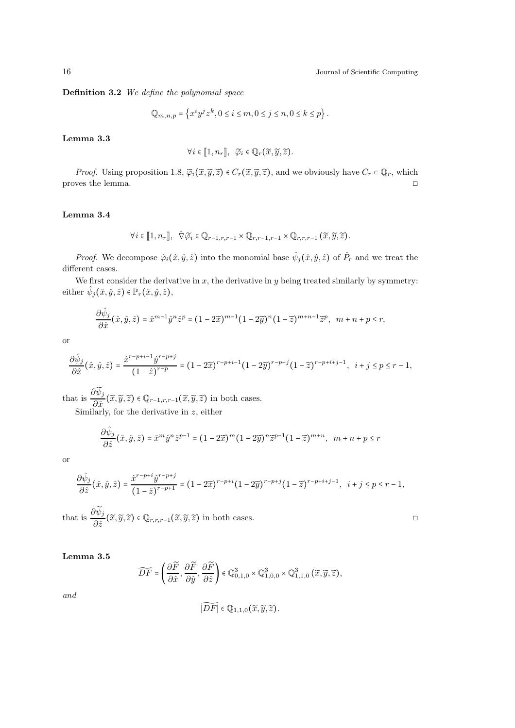Definition 3.2 We define the polynomial space

$$
\mathbb{Q}_{m,n,p} = \left\{ x^i y^j z^k, 0 \le i \le m, 0 \le j \le n, 0 \le k \le p \right\}.
$$

## Lemma 3.3

$$
\forall i \in [\![1,n_r]\!], \ \ \widetilde{\varphi}_i \in \mathbb{Q}_r(\widetilde{x},\widetilde{y},\widetilde{z}).
$$

*Proof.* Using proposition 1.8,  $\tilde{\varphi}_i(\tilde{x}, \tilde{y}, \tilde{z}) \in C_r(\tilde{x}, \tilde{y}, \tilde{z})$ , and we obviously have  $C_r \subset \mathbb{Q}_r$ , which wes the lemma. proves the lemma.

# Lemma 3.4

$$
\forall i \in [1, n_r], \quad \widehat{\nabla} \widetilde{\varphi}_i \in \mathbb{Q}_{r-1,r,r-1} \times \mathbb{Q}_{r,r-1,r-1} \times \mathbb{Q}_{r,r,r-1} \left( \widetilde{x}, \widetilde{y}, \widetilde{z} \right).
$$

*Proof.* We decompose  $\hat{\varphi}_i(\hat{x}, \hat{y}, \hat{z})$  into the monomial base  $\hat{\psi}_j(\hat{x}, \hat{y}, \hat{z})$  of  $\hat{P}_r$  and we treat the different cases.

We first consider the derivative in x, the derivative in y being treated similarly by symmetry: either  $\hat{\psi}_j(\hat{x}, \hat{y}, \hat{z}) \in \mathbb{P}_r(\hat{x}, \hat{y}, \hat{z}),$ 

$$
\frac{\partial \hat{\psi}_j}{\partial \hat{x}}(\hat{x}, \hat{y}, \hat{z}) = \hat{x}^{m-1} \hat{y}^n \hat{z}^p = (1 - 2\tilde{x})^{m-1} (1 - 2\tilde{y})^n (1 - \tilde{z})^{m+n-1} \tilde{z}^p, \quad m + n + p \le r,
$$

or

$$
\frac{\partial \hat{\psi}_j}{\partial \hat{x}}(\hat{x},\hat{y},\hat{z}) = \frac{\hat{x}^{r-p+i-1}\hat{y}^{r-p+j}}{(1-\hat{z})^{r-p}} = (1-2\widetilde{x})^{r-p+i-1}(1-2\widetilde{y})^{r-p+j}(1-\widetilde{z})^{r-p+i+j-1}, i+j \leq p \leq r-1,
$$

that is  $\frac{\partial \psi_j}{\partial \hat{p}}$  $\frac{\partial^{\alpha} y}{\partial \hat{x}}(\widetilde{x},\widetilde{y},\widetilde{z}) \in \mathbb{Q}_{r-1,r,r-1}(\widetilde{x},\widetilde{y},\widetilde{z})$  in both cases.

Similarly, for the derivative in z, either

$$
\frac{\partial \hat{\psi}_j}{\partial \hat{z}}(\hat{x}, \hat{y}, \hat{z}) = \hat{x}^m \hat{y}^n \hat{z}^{p-1} = (1 - 2\tilde{x})^m (1 - 2\tilde{y})^n \tilde{z}^{p-1} (1 - \tilde{z})^{m+n}, \quad m + n + p \le r
$$

or

$$
\frac{\partial \hat{\psi}_j}{\partial \hat{z}}(\hat{x}, \hat{y}, \hat{z}) = \frac{\hat{x}^{r-p+i} \hat{y}^{r-p+j}}{(1-\hat{z})^{r-p+1}} = (1-2\widetilde{x})^{r-p+i} (1-2\widetilde{y})^{r-p+j} (1-\widetilde{z})^{r-p+i+j-1}, \quad i+j \leq p \leq r-1,
$$

that is  $\frac{\partial \psi_j}{\partial \hat{y}}$  $\frac{\partial \varphi_j}{\partial \hat{z}}(\tilde{x}, \tilde{y}, \tilde{z}) \in \mathbb{Q}_{r,r,r-1}(\tilde{x}, \tilde{y}, \tilde{z})$  in both cases.

Lemma 3.5

$$
\widetilde{DF}=\left(\frac{\partial \widetilde{F}}{\partial \hat{x}},\frac{\partial \widetilde{F}}{\partial \hat{y}},\frac{\partial \widetilde{F}}{\partial \hat{z}}\right)\in \mathbb{Q}_{0,1,0}^3\times\mathbb{Q}_{1,0,0}^3\times\mathbb{Q}_{1,1,0}^3\left(\widetilde{x},\widetilde{y},\widetilde{z}\right),
$$

and

$$
\widetilde{|DF|} \in \mathbb{Q}_{1,1,0}(\widetilde{x},\widetilde{y},\widetilde{z}).
$$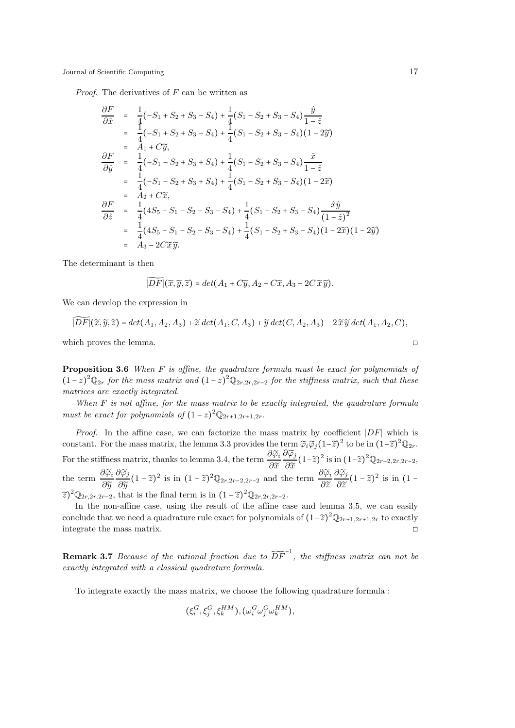*Proof.* The derivatives of  $F$  can be written as

$$
\frac{\partial F}{\partial \hat{x}} = \frac{1}{4}(-S_1 + S_2 + S_3 - S_4) + \frac{1}{4}(S_1 - S_2 + S_3 - S_4)\frac{\hat{y}}{1 - \hat{z}}
$$
\n
$$
= \frac{1}{4}(-S_1 + S_2 + S_3 - S_4) + \frac{1}{4}(S_1 - S_2 + S_3 - S_4)(1 - 2\hat{y})
$$
\n
$$
= A_1 + C\tilde{y},
$$
\n
$$
\frac{\partial F}{\partial \hat{y}} = \frac{1}{4}(-S_1 - S_2 + S_3 + S_4) + \frac{1}{4}(S_1 - S_2 + S_3 - S_4)\frac{\hat{x}}{1 - \hat{z}}
$$
\n
$$
= \frac{1}{4}(-S_1 - S_2 + S_3 + S_4) + \frac{1}{4}(S_1 - S_2 + S_3 - S_4)(1 - 2\hat{x})
$$
\n
$$
= A_2 + C\tilde{x},
$$
\n
$$
\frac{\partial F}{\partial \hat{z}} = \frac{1}{4}(4S_5 - S_1 - S_2 - S_3 - S_4) + \frac{1}{4}(S_1 - S_2 + S_3 - S_4)\frac{\hat{x}\hat{y}}{(1 - \hat{z})^2}
$$
\n
$$
= \frac{1}{4}(4S_5 - S_1 - S_2 - S_3 - S_4) + \frac{1}{4}(S_1 - S_2 + S_3 - S_4)(1 - 2\hat{y})(1 - 2\hat{y})
$$
\n
$$
= A_3 - 2C\tilde{x}\tilde{y}.
$$

The determinant is then

$$
\overline{|\mathcal{DF}|(\widetilde{x}, \widetilde{y}, \widetilde{z})} = det(A_1 + C\widetilde{y}, A_2 + C\widetilde{x}, A_3 - 2C \widetilde{x} \widetilde{y}).
$$

We can develop the expression in

$$
|D\overline{F}|(\widetilde{x},\widetilde{y},\widetilde{z})=det(A_1,A_2,A_3)+\widetilde{x} \det(A_1,C,A_3)+\widetilde{y} \det(C,A_2,A_3)-2\widetilde{x}\widetilde{y} \det(A_1,A_2,C),
$$

which proves the lemma.  $\Box$ 

Proposition 3.6 When F is affine, the quadrature formula must be exact for polynomials of  $(1-z)^2 \mathbb{Q}_{2r}$  for the mass matrix and  $(1-z)^2 \mathbb{Q}_{2r,2r,2r-2}$  for the stiffness matrix, such that these matrices are exactly integrated.

When  $F$  is not affine, for the mass matrix to be exactly integrated, the quadrature formula must be exact for polynomials of  $(1-z)^2 \mathbb{Q}_{2r+1,2r+1,2r}$ .

Proof. In the affine case, we can factorize the mass matrix by coefficient |DF| which is constant. For the mass matrix, the lemma 3.3 provides the term  $\tilde{\varphi}_i \tilde{\varphi}_j (1-\tilde{z})^2$  to be in  $(1-\tilde{z})^2 \mathbb{Q}_{2r}$ . For the stiffness matrix, thanks to lemma 3.4, the term  $\frac{\partial \widetilde{\varphi}_i}{\partial \widetilde{\varphi}_i}$  $\partial \widetilde{x}$  $\partial \widetilde{\varphi}_j$  $rac{\partial \varphi_j}{\partial \widetilde{x}}(1-\widetilde{z})^2$  is in  $(1-\widetilde{z})^2 \mathbb{Q}_{2r-2,2r,2r-2}$ ,<br> $\partial \widetilde{x} \cdot \partial \widetilde{\alpha}$ . the term  $\frac{\partial \widetilde{\varphi}_i}{\partial \widetilde{\varphi}}$  $\partial \widetilde{y}$  $\partial \widetilde{\varphi}_j$  $\frac{\partial \widetilde{\varphi}_j}{\partial \widetilde{y}}(1-\widetilde{z})^2$  is in  $(1-\widetilde{z})^2 \mathbb{Q}_{2r,2r-2,2r-2}$  and the term  $\frac{\partial \widetilde{\varphi}_i}{\partial \widetilde{z}}$  $\partial \widetilde{z}$  $\partial \widetilde{\varphi}_j$  $rac{\partial \varphi_j}{\partial \widetilde{z}}(1-\widetilde{z})^2$  is in  $(1-\widetilde{z})$  $(\widetilde{z})^2 \mathbb{Q}_{2r,2r,2r-2}$ , that is the final term is in  $(1-\widetilde{z})^2 \mathbb{Q}_{2r,2r,2r-2}$ .

In the non-affine case, using the result of the affine case and lemma 3.5, we can easily conclude that we need a quadrature rule exact for polynomials of  $(1-\tilde{z})^2 \mathbb{Q}_{2r+1,2r+1,2r}$  to exactly integrate the mass matrix.  $□$ 

**Remark 3.7** Because of the rational fraction due to  $\widetilde{DF}^{-1}$ , the stiffness matrix can not be exactly integrated with a classical quadrature formula.

To integrate exactly the mass matrix, we choose the following quadrature formula :

$$
(\xi_i^G, \xi_j^G, \xi_k^{HM}), (\omega_i^G \omega_j^G \omega_k^{HM}),
$$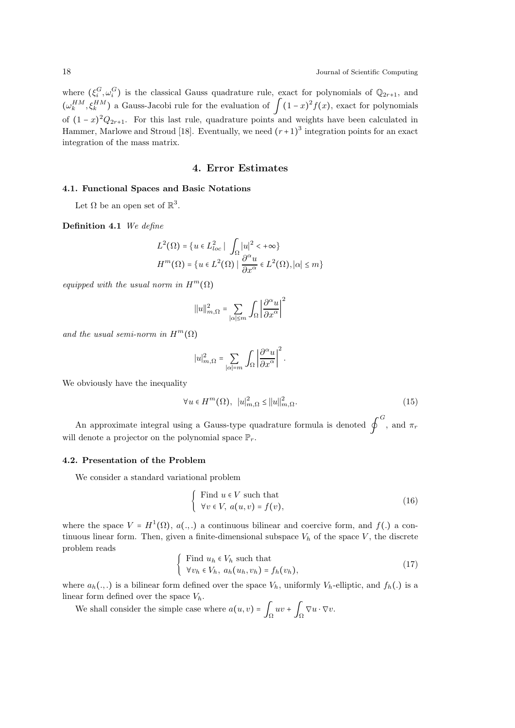where  $(\xi_i^G, \omega_i^G)$  is the classical Gauss quadrature rule, exact for polynomials of  $\mathbb{Q}_{2r+1}$ , and  $(\omega_k^{HM}, \xi_k^{HM})$  a Gauss-Jacobi rule for the evaluation of  $\int (1-x)^2 f(x)$ , exact for polynomials of  $(1-x)^2 Q_{2r+1}$ . For this last rule, quadrature points and weights have been calculated in Hammer, Marlowe and Stroud [18]. Eventually, we need  $(r+1)^3$  integration points for an exact integration of the mass matrix.

# 4. Error Estimates

### 4.1. Functional Spaces and Basic Notations

Let  $\Omega$  be an open set of  $\mathbb{R}^3$ .

Definition 4.1 We define

$$
L^{2}(\Omega) = \{u \in L^{2}_{loc} \mid \int_{\Omega} |u|^{2} < +\infty\}
$$
  

$$
H^{m}(\Omega) = \{u \in L^{2}(\Omega) \mid \frac{\partial^{\alpha} u}{\partial x^{\alpha}} \in L^{2}(\Omega), |\alpha| \leq m\}
$$

equipped with the usual norm in  $H^m(\Omega)$ 

$$
||u||_{m,\Omega}^2 = \sum_{|\alpha| \le m} \int_{\Omega} \left| \frac{\partial^{\alpha} u}{\partial x^{\alpha}} \right|^2
$$

and the usual semi-norm in  $H^m(\Omega)$ 

$$
|u|_{m,\Omega}^2 = \sum_{|\alpha|=m} \int_{\Omega} \left| \frac{\partial^{\alpha} u}{\partial x^{\alpha}} \right|^2.
$$

We obviously have the inequality

$$
\forall u \in H^m(\Omega), \ |u|_{m,\Omega}^2 \le ||u||_{m,\Omega}^2. \tag{15}
$$

An approximate integral using a Gauss-type quadrature formula is denoted  $\oint^G$ , and  $\pi_r$ will denote a projector on the polynomial space  $\mathbb{P}_r$ .

#### 4.2. Presentation of the Problem

We consider a standard variational problem

$$
\begin{cases}\n\text{Find } u \in V \text{ such that} \\
\forall v \in V, \ a(u, v) = f(v),\n\end{cases} \tag{16}
$$

where the space  $V = H^1(\Omega)$ ,  $a(.,.)$  a continuous bilinear and coercive form, and  $f(.)$  a continuous linear form. Then, given a finite-dimensional subspace  $V<sub>h</sub>$  of the space V, the discrete problem reads

Find 
$$
u_h \in V_h
$$
 such that  
\n
$$
\forall v_h \in V_h, a_h(u_h, v_h) = f_h(v_h),
$$
\n(17)

where  $a_h(.,.)$  is a bilinear form defined over the space  $V_h$ , uniformly  $V_h$ -elliptic, and  $f_h(.)$  is a linear form defined over the space  $V_h$ .

We shall consider the simple case where  $a(u, v) = \int_{\Omega} uv + \int_{\Omega} \nabla u \cdot \nabla v$ .

 $\mathcal{L}$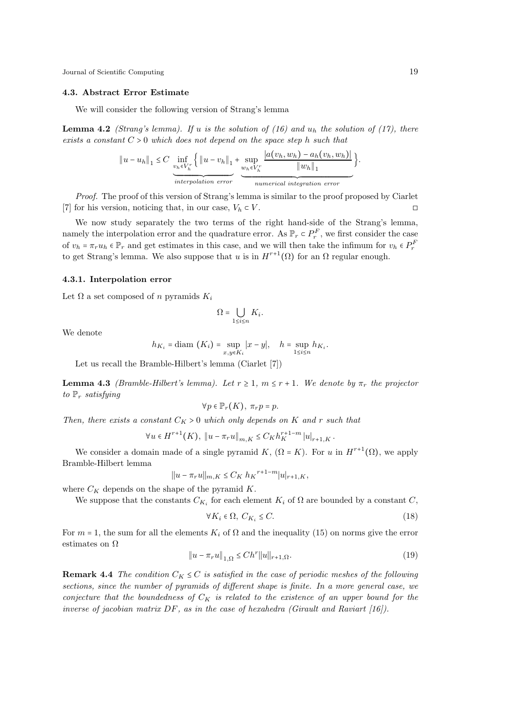#### 4.3. Abstract Error Estimate

We will consider the following version of Strang's lemma

**Lemma 4.2** (Strang's lemma). If u is the solution of (16) and  $u<sub>h</sub>$  the solution of (17), there exists a constant  $C > 0$  which does not depend on the space step h such that

$$
||u - u_h||_1 \leq C \underbrace{\inf_{v_h \in V_h^r} \left\{ ||u - v_h||_1 + \sup_{w_h \in V_h^r} \frac{|a(v_h, w_h) - a_h(v_h, w_h)|}{||w_h||_1} \right\}}_{interpolation error}.
$$

Proof. The proof of this version of Strang's lemma is similar to the proof proposed by Ciarlet  $[7]$  for his version, noticing that, in our case,  $V_h \subset V$ . □

We now study separately the two terms of the right hand-side of the Strang's lemma, namely the interpolation error and the quadrature error. As  $\mathbb{P}_r \subset P_r^F$ , we first consider the case of  $v_h = \pi_r u_h \in \mathbb{P}_r$  and get estimates in this case, and we will then take the infimum for  $v_h \in P_r^F$ to get Strang's lemma. We also suppose that u is in  $H^{r+1}(\Omega)$  for an  $\Omega$  regular enough.

### 4.3.1. Interpolation error

Let  $\Omega$  a set composed of n pyramids  $K_i$ 

$$
\Omega=\bigcup_{1\leq i\leq n}K_i.
$$

We denote

$$
h_{K_i} = \text{diam}(K_i) = \sup_{x,y \in K_i} |x - y|, \quad h = \sup_{1 \le i \le n} h_{K_i}.
$$

Let us recall the Bramble-Hilbert's lemma (Ciarlet [7])

**Lemma 4.3** (Bramble-Hilbert's lemma). Let  $r \geq 1$ ,  $m \leq r + 1$ . We denote by  $\pi_r$  the projector to  $\mathbb{P}_r$  satisfying

$$
\forall p \in \mathbb{P}_r(K), \ \pi_r p = p.
$$

Then, there exists a constant  $C_K > 0$  which only depends on K and r such that

$$
\forall u \in H^{r+1}(K), \|u - \pi_r u\|_{m,K} \leq C_K h_K^{r+1-m} |u|_{r+1,K}.
$$

We consider a domain made of a single pyramid K,  $(\Omega = K)$ . For u in  $H^{r+1}(\Omega)$ , we apply Bramble-Hilbert lemma

$$
||u - \pi_r u||_{m,K} \leq C_K h_K^{r+1-m} |u|_{r+1,K},
$$

where  $C_K$  depends on the shape of the pyramid  $K$ .

We suppose that the constants  $C_{K_i}$  for each element  $K_i$  of  $\Omega$  are bounded by a constant  $C$ ,

$$
\forall K_i \in \Omega, \ C_{K_i} \le C. \tag{18}
$$

For  $m = 1$ , the sum for all the elements  $K_i$  of  $\Omega$  and the inequality (15) on norms give the error estimates on Ω

$$
||u - \pi_r u||_{1,\Omega} \le Ch^r ||u||_{r+1,\Omega}.
$$
\n(19)

**Remark 4.4** The condition  $C_K \leq C$  is satisfied in the case of periodic meshes of the following sections, since the number of pyramids of different shape is finite. In a more general case, we conjecture that the boundedness of  $C_K$  is related to the existence of an upper bound for the inverse of jacobian matrix  $DF$ , as in the case of hexahedra (Girault and Raviart [16]).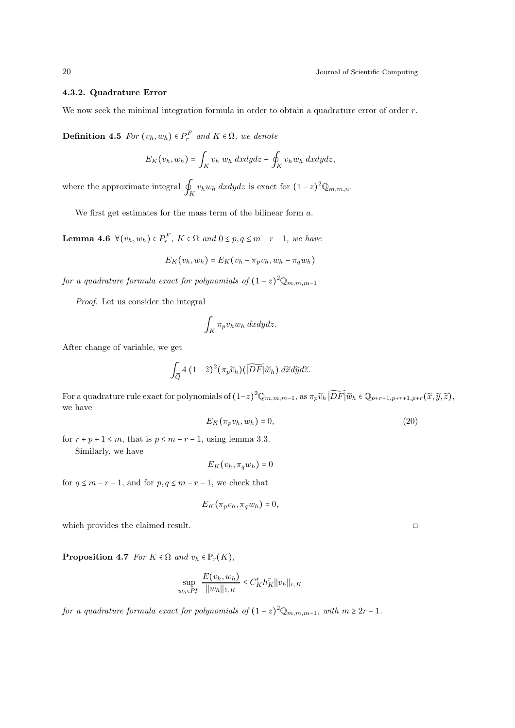## 4.3.2. Quadrature Error

We now seek the minimal integration formula in order to obtain a quadrature error of order  $r$ .

**Definition 4.5** For  $(v_h, w_h) \in P_r^F$  and  $K \in \Omega$ , we denote

$$
E_K(v_h, w_h) = \int_K v_h w_h \, dxdydz - \oint_K v_h w_h \, dxdydz,
$$

where the approximate integral  $\oint_K v_h w_h dx dy dz$  is exact for  $(1-z)^2 \mathbb{Q}_{m,m,n}$ .

We first get estimates for the mass term of the bilinear form  $a$ .

**Lemma 4.6**  $\forall (v_h, w_h) \in P_r^F$ ,  $K \in \Omega$  and  $0 \le p, q \le m-r-1$ , we have

$$
E_K(v_h, w_h) = E_K(v_h - \pi_p v_h, w_h - \pi_q w_h)
$$

for a quadrature formula exact for polynomials of  $(1-z)^2 \mathbb{Q}_{m,m,m-1}$ 

Proof. Let us consider the integral

$$
\int_K \pi_p v_h w_h \ dx dy dz.
$$

After change of variable, we get

$$
\int_{\widetilde{Q}} 4\,\big(1-\widetilde{z}\big)^2\big(\pi_p\widetilde{v}_h\big)\big(\widetilde{|DF|}\widetilde{w}_h\big)\;d\widetilde{x}d\widetilde{y}d\widetilde{z}.
$$

For a quadrature rule exact for polynomials of  $(1-z)^2 \mathbb{Q}_{m,m,m-1}$ , as  $\pi_p \widetilde{v}_h$   $\widetilde{[DF]} \widetilde{w}_h \in \mathbb{Q}_{p+r+1,p+r+1,p+r}(\widetilde{x}, \widetilde{y}, \widetilde{z})$ , we have

$$
E_K(\pi_p v_h, w_h) = 0,\t\t(20)
$$

for  $r + p + 1 \le m$ , that is  $p \le m - r - 1$ , using lemma 3.3. Similarly, we have

$$
E_K(v_h, \pi_q w_h) = 0
$$

for  $q \leq m-r-1$ , and for  $p, q \leq m-r-1$ , we check that

$$
E_K(\pi_p v_h, \pi_q w_h) = 0,
$$

which provides the claimed result.  $\hfill \Box$ 

**Proposition 4.7** For  $K \in \Omega$  and  $v_h \in \mathbb{P}_r(K)$ ,

$$
\sup_{w_h \in P_r^F} \frac{E(v_h, w_h)}{\|w_h\|_{1,K}} \le C_K' h_K^r \|v_h\|_{r,K}
$$

for a quadrature formula exact for polynomials of  $(1-z)^2 \mathbb{Q}_{m,m,m-1}$ , with  $m \geq 2r - 1$ .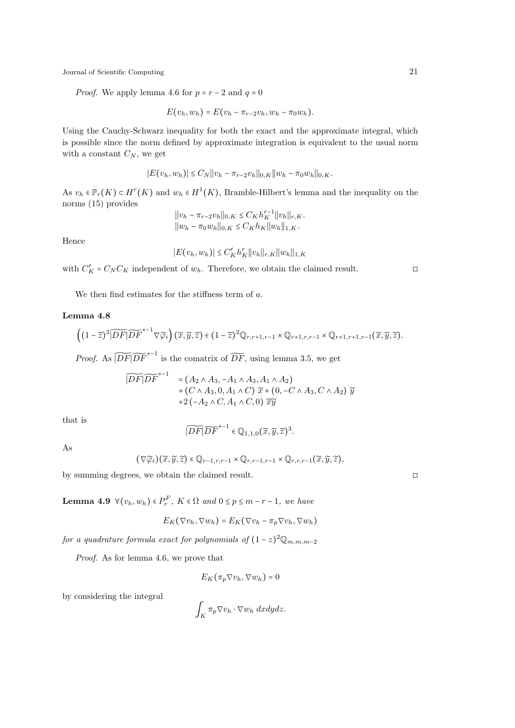*Proof.* We apply lemma 4.6 for  $p = r - 2$  and  $q = 0$ 

$$
E(v_h, w_h) = E(v_h - \pi_{r-2}v_h, w_h - \pi_0w_h).
$$

Using the Cauchy-Schwarz inequality for both the exact and the approximate integral, which is possible since the norm defined by approximate integration is equivalent to the usual norm with a constant  $C_N$ , we get

$$
|E(v_h, w_h)| \leq C_N ||v_h - \pi_{r-2}v_h||_{0,K} ||w_h - \pi_0w_h||_{0,K}.
$$

As  $v_h \in \mathbb{P}_r(K) \subset H^r(K)$  and  $w_h \in H^1(K)$ , Bramble-Hilbert's lemma and the inequality on the norms (15) provides

$$
||v_h - \pi_{r-2}v_h||_{0,K} \le C_K h_K^{r-1} ||v_h||_{r,K}.
$$
  

$$
||w_h - \pi_0 w_h||_{0,K} \le C_K h_K ||w_h||_{1,K}.
$$

Hence

$$
|E(v_h, w_h)| \le C'_K h_K^r ||v_h||_{r,K} ||w_h||_{1,K}
$$

with  $C'_K = C_N C_K$  independent of  $w_h$ . Therefore, we obtain the claimed result.  $\square$ 

We then find estimates for the stiffness term of  $a$ .

### Lemma 4.8

$$
\left((1-\widetilde{z})^2|\widetilde{DF}| \widetilde{DF}^{*-1}\nabla \widetilde{\varphi}_i\right)(\widetilde{x},\widetilde{y},\widetilde{z})\in (1-\widetilde{z})^2 \mathbb{Q}_{r,r+1,r-1}\times \mathbb{Q}_{r+1,r,r-1}\times \mathbb{Q}_{r+1,r+1,r-1}(\widetilde{x},\widetilde{y},\widetilde{z}).
$$

*Proof.* As  $\widetilde{|DF|}\widetilde{DF}^{*-1}$  is the comatrix of  $\widetilde{DF}$ , using lemma 3.5, we get

$$
\widetilde{|DF|DF}^{*-1} = (A_2 \wedge A_3, -A_1 \wedge A_3, A_1 \wedge A_2) + (C \wedge A_3, 0, A_1 \wedge C) \widetilde{x} + (0, -C \wedge A_3, C \wedge A_2) \widetilde{y} + 2 (-A_2 \wedge C, A_1 \wedge C, 0) \widetilde{x}\widetilde{y}
$$

that is

$$
\widetilde{|DF|}\widetilde{DF}^{*-1} \in \mathbb{Q}_{1,1,0}(\widetilde{x},\widetilde{y},\widetilde{z})^3.
$$

As

$$
(\nabla \widetilde{\varphi}_i)(\widetilde{x}, \widetilde{y}, \widetilde{z}) \in \mathbb{Q}_{r-1,r,r-1} \times \mathbb{Q}_{r,r-1,r-1} \times \mathbb{Q}_{r,r,r-1}(\widetilde{x}, \widetilde{y}, \widetilde{z}),
$$

by summing degrees, we obtain the claimed result. ◻

**Lemma 4.9**  $\forall (v_h, w_h) \in P_r^F$ ,  $K \in \Omega$  and  $0 \le p \le m-r-1$ , we have

$$
E_K(\nabla v_h, \nabla w_h) = E_K(\nabla v_h - \pi_p \nabla v_h, \nabla w_h)
$$

for a quadrature formula exact for polynomials of  $(1-z)^2 \mathbb{Q}_{m,m,m-2}$ 

Proof. As for lemma 4.6, we prove that

$$
E_K(\pi_p \nabla v_h, \nabla w_h) = 0
$$

by considering the integral

$$
\int_K \pi_p \nabla v_h \cdot \nabla w_h \, dxdydz.
$$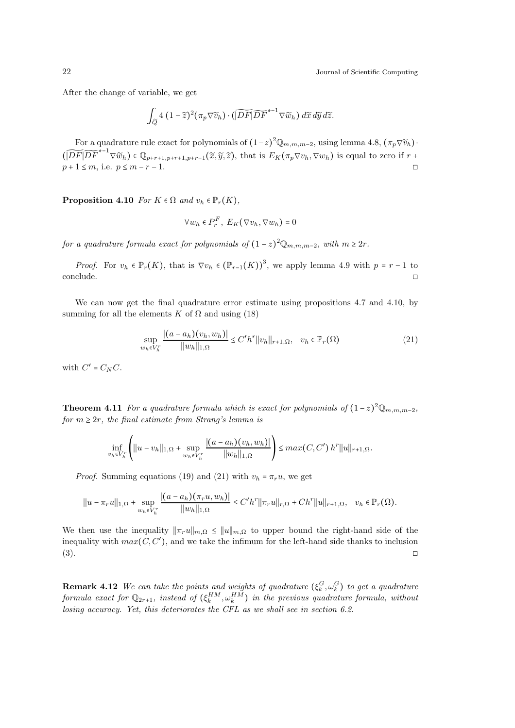After the change of variable, we get

$$
\int_{\widetilde{Q}} 4 (1-\widetilde{z})^2 (\pi_p \nabla \widetilde{v}_h) \cdot (\widetilde{|DF|} \widetilde{DF}^{*-1} \nabla \widetilde{w}_h) d\widetilde{x} d\widetilde{y} d\widetilde{z}.
$$

For a quadrature rule exact for polynomials of  $(1-z)^2 \mathbb{Q}_{m,m,m-2}$ , using lemma 4.8,  $(\pi_p \nabla \widetilde{v}_h)$ .  $(\widetilde{|DF|DF}^{*-1} \nabla \widetilde{w}_h) \in \mathbb{Q}_{p+r+1,p+r+1,p+r-1}(\widetilde{x}, \widetilde{y}, \widetilde{z}),$  that is  $E_K(\pi_p \nabla v_h, \nabla w_h)$  is equal to zero if  $r +$  $p + 1 \le m$ , i.e.  $p \le m - r - 1$ .

**Proposition 4.10** For  $K \in \Omega$  and  $v_h \in \mathbb{P}_r(K)$ ,

$$
\forall w_h \in P_r^F, E_K(\nabla v_h, \nabla w_h) = 0
$$

for a quadrature formula exact for polynomials of  $(1-z)^2 \mathbb{Q}_{m,m,m-2}$ , with  $m \geq 2r$ .

*Proof.* For  $v_h \in \mathbb{P}_r(K)$ , that is  $\nabla v_h \in (\mathbb{P}_{r-1}(K))^3$ , we apply lemma 4.9 with  $p = r - 1$  to  $\Box$ conclude.  $\Box$ 

We can now get the final quadrature error estimate using propositions 4.7 and 4.10, by summing for all the elements K of  $\Omega$  and using (18)

$$
\sup_{w_h \in V_h^r} \frac{|(a - a_h)(v_h, w_h)|}{\|w_h\|_{1,\Omega}} \le C'h^r \|v_h\|_{r+1,\Omega}, \quad v_h \in \mathbb{P}_r(\Omega)
$$
\n(21)

with  $C' = C_N C$ .

**Theorem 4.11** For a quadrature formula which is exact for polynomials of  $(1-z)^2 \mathbb{Q}_{m,m,m-2}$ , for  $m \geq 2r$ , the final estimate from Strang's lemma is

$$
\inf_{v_h \in V_h^r} \left( ||u - v_h||_{1,\Omega} + \sup_{w_h \in V_h^r} \frac{|(a - a_h)(v_h, w_h)|}{||w_h||_{1,\Omega}} \right) \leq max(C, C') h^r ||u||_{r+1,\Omega}.
$$

*Proof.* Summing equations (19) and (21) with  $v_h = \pi_r u$ , we get

$$
||u - \pi_r u||_{1,\Omega} + \sup_{w_h \in V_h^r} \frac{|(a - a_h)(\pi_r u, w_h)|}{||w_h||_{1,\Omega}} \le C'h^r ||\pi_r u||_{r,\Omega} + Ch^r ||u||_{r+1,\Omega}, \quad v_h \in \mathbb{P}_r(\Omega).
$$

We then use the inequality  $\|\pi_r u\|_{m,\Omega} \leq \|u\|_{m,\Omega}$  to upper bound the right-hand side of the inequality with  $max(C, C')$ , and we take the infimum for the left-hand side thanks to inclusion  $(3)$ .

**Remark 4.12** We can take the points and weights of quadrature  $(\xi_k^G, \omega_k^G)$  to get a quadrature formula exact for  $\mathbb{Q}_{2r+1}$ , instead of  $(\xi_k^{HM}, \omega_k^{HM})$  in the previous quadrature formula, without losing accuracy. Yet, this deteriorates the CFL as we shall see in section 6.2.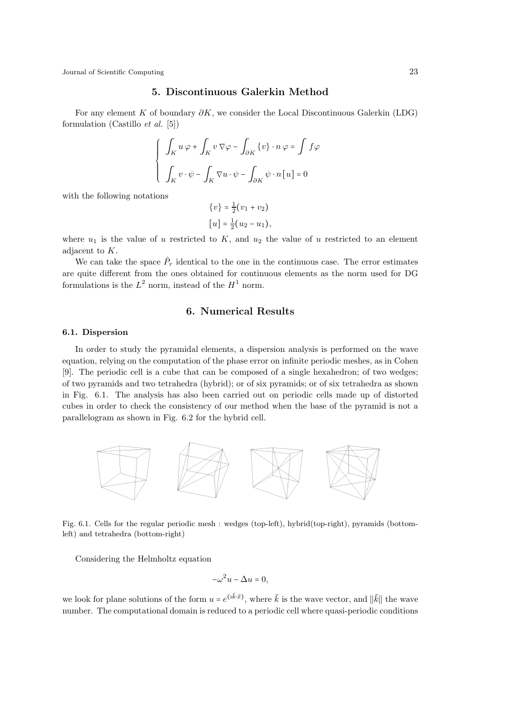# 5. Discontinuous Galerkin Method

For any element K of boundary  $\partial K$ , we consider the Local Discontinuous Galerkin (LDG) formulation (Castillo *et al.* [5])

$$
\left\{ \begin{array}{l} \displaystyle \int_K u \, \varphi + \int_K v \, \nabla \varphi - \int_{\partial K} \{v\} \cdot n \, \varphi = \int f \varphi \vspace{1mm} \\ \displaystyle \int_K v \cdot \psi - \int_K \nabla u \cdot \psi - \int_{\partial K} \psi \cdot n \, [u] = 0 \end{array} \right.
$$

with the following notations

$$
\{v\} = \frac{1}{2}(v_1 + v_2)
$$

$$
[u] = \frac{1}{2}(u_2 - u_1),
$$

where  $u_1$  is the value of u restricted to K, and  $u_2$  the value of u restricted to an element adjacent to K.

We can take the space  $\hat{P}_r$  identical to the one in the continuous case. The error estimates are quite different from the ones obtained for continuous elements as the norm used for DG formulations is the  $L^2$  norm, instead of the  $H^1$  norm.

# 6. Numerical Results

#### 6.1. Dispersion

In order to study the pyramidal elements, a dispersion analysis is performed on the wave equation, relying on the computation of the phase error on infinite periodic meshes, as in Cohen [9]. The periodic cell is a cube that can be composed of a single hexahedron; of two wedges; of two pyramids and two tetrahedra (hybrid); or of six pyramids; or of six tetrahedra as shown in Fig. 6.1. The analysis has also been carried out on periodic cells made up of distorted cubes in order to check the consistency of our method when the base of the pyramid is not a parallelogram as shown in Fig. 6.2 for the hybrid cell.



Fig. 6.1. Cells for the regular periodic mesh : wedges (top-left), hybrid(top-right), pyramids (bottomleft) and tetrahedra (bottom-right)

Considering the Helmholtz equation

$$
-\omega^2 u - \Delta u = 0,
$$

we look for plane solutions of the form  $u = e^{(\vec{k} \cdot \vec{x})}$ , where  $\vec{k}$  is the wave vector, and  $\|\vec{k}\|$  the wave number. The computational domain is reduced to a periodic cell where quasi-periodic conditions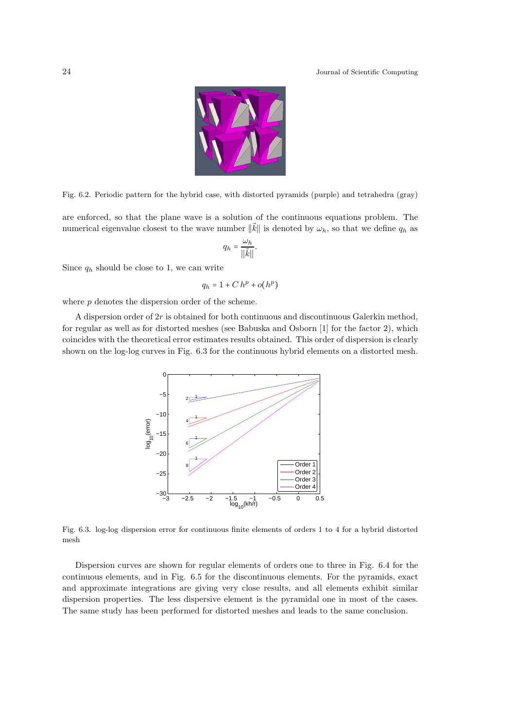

Fig. 6.2. Periodic pattern for the hybrid case, with distorted pyramids (purple) and tetrahedra (gray)

are enforced, so that the plane wave is a solution of the continuous equations problem. The numerical eigenvalue closest to the wave number  $\|\vec{k}\|$  is denoted by  $\omega_h$ , so that we define  $q_h$  as

$$
q_h = \frac{\omega_h}{\|\vec{k}\|}.
$$

Since  $q_h$  should be close to 1, we can write

$$
q_h = 1 + C h^p + o(h^p)
$$

where  $p$  denotes the dispersion order of the scheme.

A dispersion order of  $2r$  is obtained for both continuous and discontinuous Galerkin method, for regular as well as for distorted meshes (see Babuska and Osborn [1] for the factor 2), which coincides with the theoretical error estimates results obtained. This order of dispersion is clearly shown on the log-log curves in Fig. 6.3 for the continuous hybrid elements on a distorted mesh.



Fig. 6.3. log-log dispersion error for continuous finite elements of orders 1 to 4 for a hybrid distorted mesh

Dispersion curves are shown for regular elements of orders one to three in Fig. 6.4 for the continuous elements, and in Fig. 6.5 for the discontinuous elements. For the pyramids, exact and approximate integrations are giving very close results, and all elements exhibit similar dispersion properties. The less dispersive element is the pyramidal one in most of the cases. The same study has been performed for distorted meshes and leads to the same conclusion.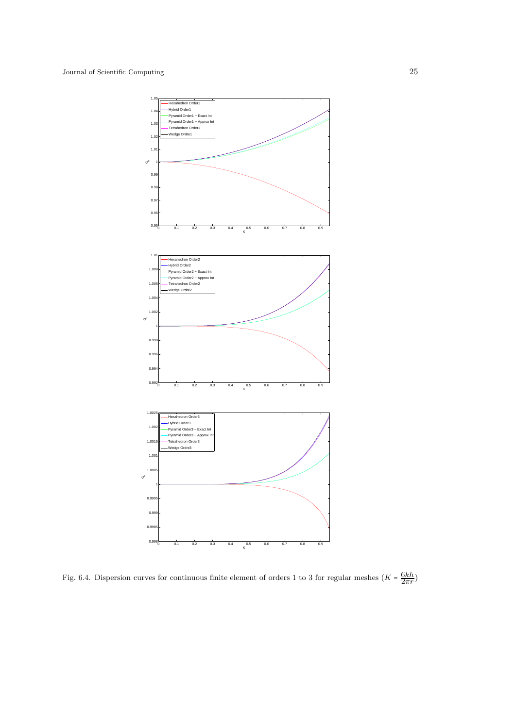

Fig. 6.4. Dispersion curves for continuous finite element of orders 1 to 3 for regular meshes  $(K = \frac{6kh}{2\pi r})$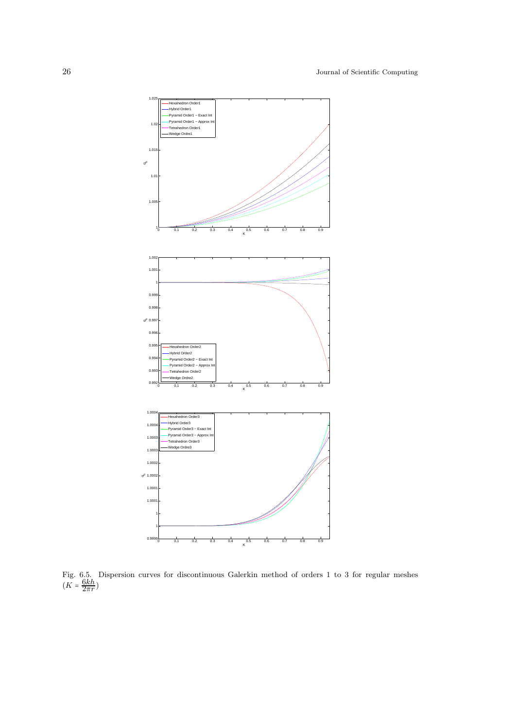

Fig. 6.5. Dispersion curves for discontinuous Galerkin method of orders 1 to 3 for regular meshes  $(K = \frac{6kh}{2\pi r})$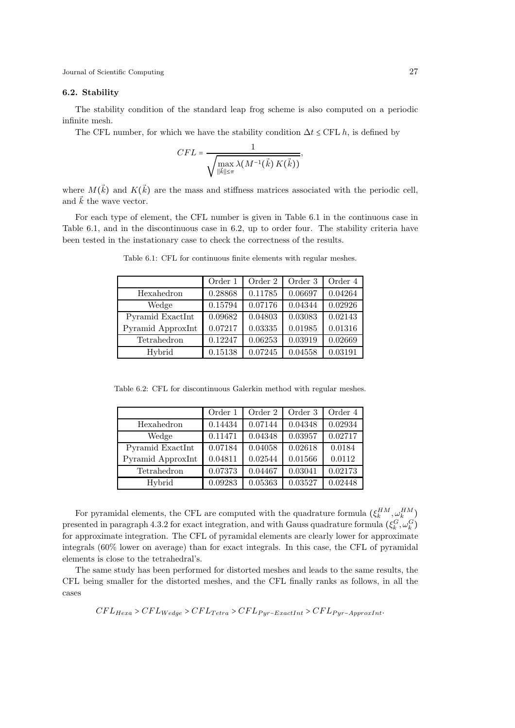# 6.2. Stability

The stability condition of the standard leap frog scheme is also computed on a periodic infinite mesh.

The CFL number, for which we have the stability condition  $\Delta t \leq CFL$  h, is defined by

$$
CFL = \frac{1}{\sqrt{\max_{\|\vec{k}\| \leq \pi} \lambda(M^{-1}(\vec{k}) K(\vec{k}))}},
$$

where  $M(k)$  and  $K(k)$  are the mass and stiffness matrices associated with the periodic cell, and  $\vec{k}$  the wave vector.

For each type of element, the CFL number is given in Table 6.1 in the continuous case in Table 6.1, and in the discontinuous case in 6.2, up to order four. The stability criteria have been tested in the instationary case to check the correctness of the results.

|                   | Order 1 | Order 2 | Order 3 | Order 4 |
|-------------------|---------|---------|---------|---------|
| Hexahedron        | 0.28868 | 0.11785 | 0.06697 | 0.04264 |
| Wedge             | 0.15794 | 0.07176 | 0.04344 | 0.02926 |
| Pyramid ExactInt  | 0.09682 | 0.04803 | 0.03083 | 0.02143 |
| Pyramid ApproxInt | 0.07217 | 0.03335 | 0.01985 | 0.01316 |
| Tetrahedron       | 0.12247 | 0.06253 | 0.03919 | 0.02669 |
| Hybrid            | 0.15138 | 0.07245 | 0.04558 | 0.03191 |

Table 6.1: CFL for continuous finite elements with regular meshes.

Table 6.2: CFL for discontinuous Galerkin method with regular meshes.

|                   | Order 1 | Order 2 | Order 3 | Order 4 |
|-------------------|---------|---------|---------|---------|
| Hexahedron        | 0.14434 | 0.07144 | 0.04348 | 0.02934 |
| Wedge             | 0.11471 | 0.04348 | 0.03957 | 0.02717 |
| Pyramid ExactInt  | 0.07184 | 0.04058 | 0.02618 | 0.0184  |
| Pyramid ApproxInt | 0.04811 | 0.02544 | 0.01566 | 0.0112  |
| Tetrahedron       | 0.07373 | 0.04467 | 0.03041 | 0.02173 |
| Hybrid            | 0.09283 | 0.05363 | 0.03527 | 0.02448 |

For pyramidal elements, the CFL are computed with the quadrature formula  $(\xi_k^{HM}, \omega_k^{HM})$ presented in paragraph 4.3.2 for exact integration, and with Gauss quadrature formula  $(\xi_k^G, \omega_k^G)$ for approximate integration. The CFL of pyramidal elements are clearly lower for approximate integrals (60% lower on average) than for exact integrals. In this case, the CFL of pyramidal elements is close to the tetrahedral's.

The same study has been performed for distorted meshes and leads to the same results, the CFL being smaller for the distorted meshes, and the CFL finally ranks as follows, in all the cases

$$
CFL_{Hexa} > CFL_{Wedge} > CFL_{Tetra} > CFL_{Pyr-ExactInt} > CFL_{Pyr-ApproxInt}.
$$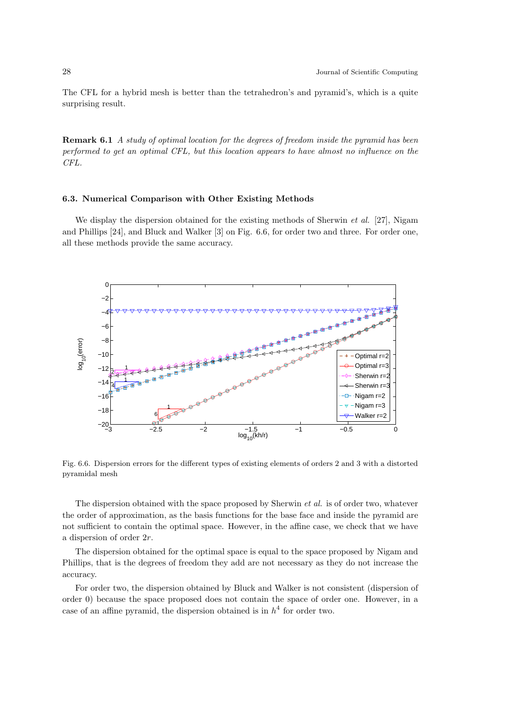The CFL for a hybrid mesh is better than the tetrahedron's and pyramid's, which is a quite surprising result.

**Remark 6.1** A study of optimal location for the degrees of freedom inside the pyramid has been performed to get an optimal CFL, but this location appears to have almost no influence on the CFL.

### 6.3. Numerical Comparison with Other Existing Methods

We display the dispersion obtained for the existing methods of Sherwin *et al.* [27], Nigam and Phillips [24], and Bluck and Walker [3] on Fig. 6.6, for order two and three. For order one, all these methods provide the same accuracy.



Fig. 6.6. Dispersion errors for the different types of existing elements of orders 2 and 3 with a distorted pyramidal mesh

The dispersion obtained with the space proposed by Sherwin et al. is of order two, whatever the order of approximation, as the basis functions for the base face and inside the pyramid are not sufficient to contain the optimal space. However, in the affine case, we check that we have a dispersion of order 2r.

The dispersion obtained for the optimal space is equal to the space proposed by Nigam and Phillips, that is the degrees of freedom they add are not necessary as they do not increase the accuracy.

For order two, the dispersion obtained by Bluck and Walker is not consistent (dispersion of order 0) because the space proposed does not contain the space of order one. However, in a case of an affine pyramid, the dispersion obtained is in  $h^4$  for order two.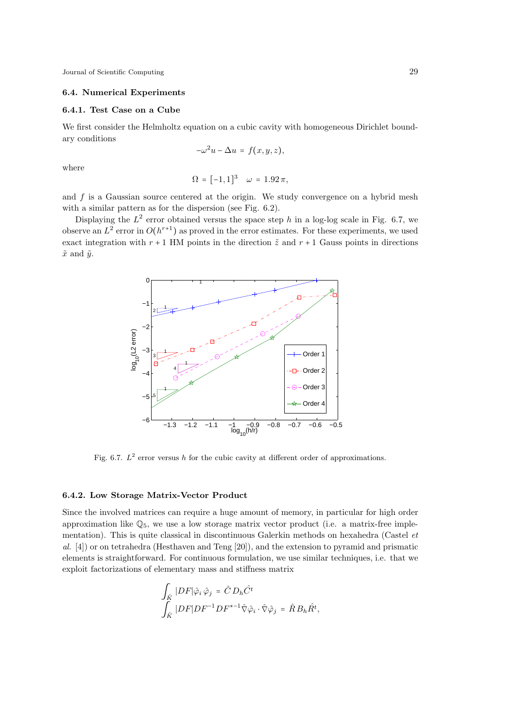# 6.4. Numerical Experiments

## 6.4.1. Test Case on a Cube

We first consider the Helmholtz equation on a cubic cavity with homogeneous Dirichlet boundary conditions

$$
-\omega^2 u - \Delta u = f(x, y, z),
$$

where

$$
\Omega = [-1, 1]^3 \quad \omega = 1.92 \pi,
$$

and  $f$  is a Gaussian source centered at the origin. We study convergence on a hybrid mesh with a similar pattern as for the dispersion (see Fig. 6.2).

Displaying the  $L^2$  error obtained versus the space step h in a log-log scale in Fig. 6.7, we observe an  $L^2$  error in  $O(h^{r+1})$  as proved in the error estimates. For these experiments, we used exact integration with  $r + 1$  HM points in the direction  $\tilde{z}$  and  $r + 1$  Gauss points in directions  $\tilde{x}$  and  $\tilde{y}$ .



Fig. 6.7.  $L^2$  error versus h for the cubic cavity at different order of approximations.

#### 6.4.2. Low Storage Matrix-Vector Product

Since the involved matrices can require a huge amount of memory, in particular for high order approximation like  $\mathbb{Q}_5$ , we use a low storage matrix vector product (i.e. a matrix-free implementation). This is quite classical in discontinuous Galerkin methods on hexahedra (Castel et al. [4]) or on tetrahedra (Hesthaven and Teng [20]), and the extension to pyramid and prismatic elements is straightforward. For continuous formulation, we use similar techniques, i.e. that we exploit factorizations of elementary mass and stiffness matrix

$$
\int_{\hat{K}} |DF|\hat{\varphi}_i \hat{\varphi}_j = \hat{C} D_h \hat{C}^t
$$
  

$$
\int_{\hat{K}} |DF| DF^{-1} DF^{*-1} \hat{\nabla} \hat{\varphi}_i \cdot \hat{\nabla} \hat{\varphi}_j = \hat{R} B_h \hat{R}^t,
$$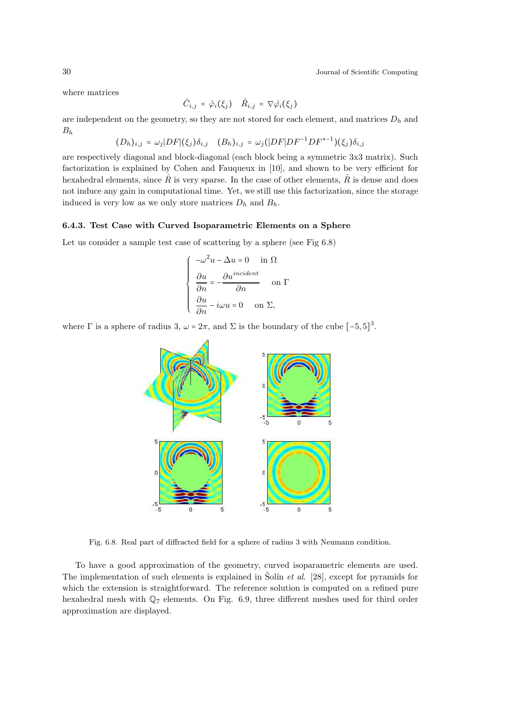where matrices

$$
\hat{C}_{i,j} = \hat{\varphi}_i(\xi_j) \quad \hat{R}_{i,j} = \nabla \hat{\varphi}_i(\xi_j)
$$

are independent on the geometry, so they are not stored for each element, and matrices  $D_h$  and  $B_h$ 

$$
(D_h)_{i,j} = \omega_j |DF|(\xi_j) \delta_{i,j} \quad (B_h)_{i,j} = \omega_j (|DF|DF^{-1}DF^{*-1})(\xi_j) \delta_{i,j}
$$

are respectively diagonal and block-diagonal (each block being a symmetric 3x3 matrix). Such factorization is explained by Cohen and Fauqueux in [10], and shown to be very efficient for hexahedral elements, since  $\hat{R}$  is very sparse. In the case of other elements,  $\hat{R}$  is dense and does not induce any gain in computational time. Yet, we still use this factorization, since the storage induced is very low as we only store matrices  $D_h$  and  $B_h$ .

#### 6.4.3. Test Case with Curved Isoparametric Elements on a Sphere

Let us consider a sample test case of scattering by a sphere (see Fig 6.8)

$$
\begin{cases}\n-\omega^2 u - \Delta u = 0 & \text{in } \Omega \\
\frac{\partial u}{\partial n} = -\frac{\partial u^{incident}}{\partial n} & \text{on } \Gamma \\
\frac{\partial u}{\partial n} - i\omega u = 0 & \text{on } \Sigma,\n\end{cases}
$$

where  $\Gamma$  is a sphere of radius 3,  $\omega = 2\pi$ , and  $\Sigma$  is the boundary of the cube  $[-5, 5]^3$ .



Fig. 6.8. Real part of diffracted field for a sphere of radius 3 with Neumann condition.

To have a good approximation of the geometry, curved isoparametric elements are used. The implementation of such elements is explained in Solín *et al.* [28], except for pyramids for which the extension is straightforward. The reference solution is computed on a refined pure hexahedral mesh with  $\mathbb{Q}_7$  elements. On Fig. 6.9, three different meshes used for third order approximation are displayed.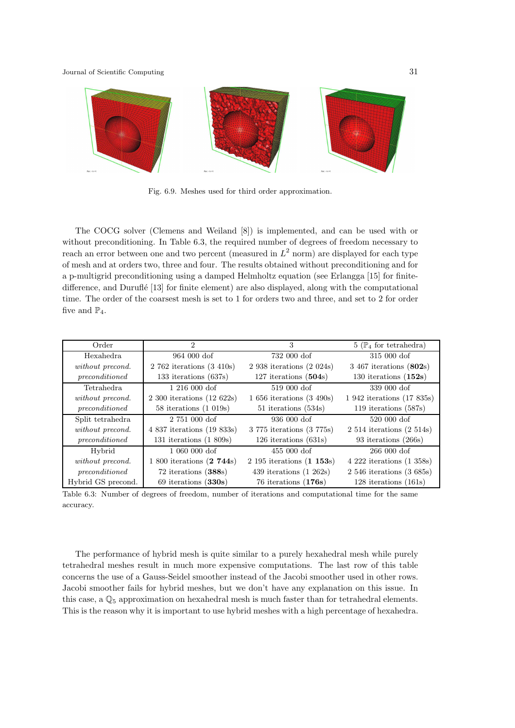

Fig. 6.9. Meshes used for third order approximation.

The COCG solver (Clemens and Weiland [8]) is implemented, and can be used with or without preconditioning. In Table 6.3, the required number of degrees of freedom necessary to reach an error between one and two percent (measured in  $L^2$  norm) are displayed for each type of mesh and at orders two, three and four. The results obtained without preconditioning and for a p-multigrid preconditioning using a damped Helmholtz equation (see Erlangga [15] for finitedifference, and Duruflé  $[13]$  for finite element) are also displayed, along with the computational time. The order of the coarsest mesh is set to 1 for orders two and three, and set to 2 for order five and  $\mathbb{P}_4$ .

| Order              | $\overline{2}$                   | 3                           | $5(\mathbb{P}_4$ for tetrahedra) |
|--------------------|----------------------------------|-----------------------------|----------------------------------|
| Hexahedra          | $964000\,\mathrm{dof}$           | 732 000 dof                 | $315000\,\mathrm{dof}$           |
| without precond.   | $2762$ iterations $(3410s)$      | $2938$ iterations $(2024s)$ | $3\,467$ iterations $(802s)$     |
| preconditioned     | 133 iterations $(637s)$          | 127 iterations $(504s)$     | 130 iterations $(152s)$          |
| Tetrahedra         | $1216000\,\mathrm{dof}$          | 519 000 dof                 | 339 000 dof                      |
| without precond.   | $2\,300$ iterations $(12\,622s)$ | $1656$ iterations $(3490s)$ | 1 942 iterations (17 835s)       |
| preconditioned     | 58 iterations $(1\ 019s)$        | 51 iterations (534s)        | 119 iterations $(587s)$          |
| Split tetrahedra   | $2,751,000$ dof                  | $936\ 000\ dof$             | 520 000 dof                      |
| without precond.   | 4 837 iterations (19 833s)       | 3 775 iterations (3 775s)   | $2\;514$ iterations $(2\;514s)$  |
| preconditioned     | 131 iterations $(1\ 809s)$       | $126$ iterations $(631s)$   | 93 iterations (266s)             |
| Hybrid             | $1060000\,\mathrm{dof}$          | $455000$ dof                | $266000\,\mathrm{dof}$           |
| without precond.   | 1 800 iterations (2 744s)        | $2195$ iterations $(1153s)$ | $4222$ iterations $(1358s)$      |
| preconditioned     | $72$ iterations $(388s)$         | 439 iterations $(1\ 262s)$  | $2\,546$ iterations $(3\,685s)$  |
| Hybrid GS precond. | $69$ iterations $(330s)$         | $76$ iterations $(176s)$    | $128$ iterations $(161s)$        |

Table 6.3: Number of degrees of freedom, number of iterations and computational time for the same accuracy.

The performance of hybrid mesh is quite similar to a purely hexahedral mesh while purely tetrahedral meshes result in much more expensive computations. The last row of this table concerns the use of a Gauss-Seidel smoother instead of the Jacobi smoother used in other rows. Jacobi smoother fails for hybrid meshes, but we don't have any explanation on this issue. In this case, a Q<sup>5</sup> approximation on hexahedral mesh is much faster than for tetrahedral elements. This is the reason why it is important to use hybrid meshes with a high percentage of hexahedra.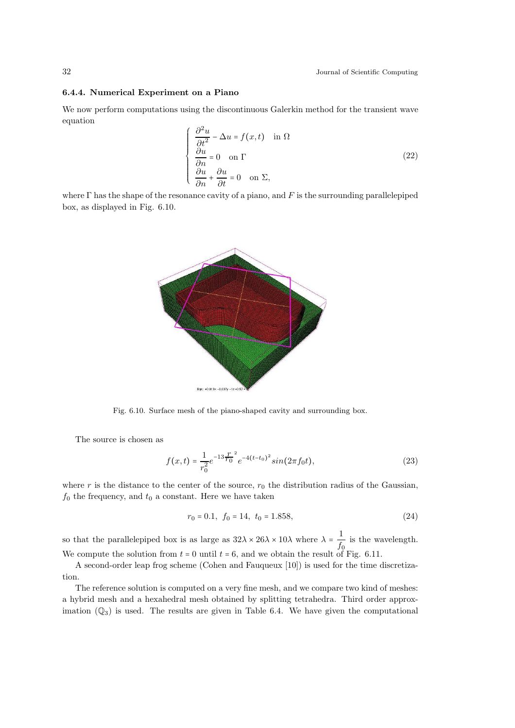### 6.4.4. Numerical Experiment on a Piano

We now perform computations using the discontinuous Galerkin method for the transient wave equation

$$
\begin{cases}\n\frac{\partial^2 u}{\partial t^2} - \Delta u = f(x, t) & \text{in } \Omega \\
\frac{\partial u}{\partial n} = 0 & \text{on } \Gamma \\
\frac{\partial u}{\partial n} + \frac{\partial u}{\partial t} = 0 & \text{on } \Sigma,\n\end{cases}
$$
\n(22)

where  $\Gamma$  has the shape of the resonance cavity of a piano, and  $F$  is the surrounding parallelepiped box, as displayed in Fig. 6.10.



Fig. 6.10. Surface mesh of the piano-shaped cavity and surrounding box.

The source is chosen as

$$
f(x,t) = \frac{1}{r_0^2} e^{-13\frac{T^2}{T_0^2}} e^{-4(t-t_0)^2} \sin(2\pi f_0 t),
$$
\n(23)

where r is the distance to the center of the source,  $r_0$  the distribution radius of the Gaussian,  $f_0$  the frequency, and  $t_0$  a constant. Here we have taken

$$
r_0 = 0.1, f_0 = 14, t_0 = 1.858,
$$
\n
$$
(24)
$$

so that the parallelepiped box is as large as  $32\lambda \times 26\lambda \times 10\lambda$  where  $\lambda = \frac{1}{6}$  $\frac{1}{f_0}$  is the wavelength. We compute the solution from  $t = 0$  until  $t = 6$ , and we obtain the result of Fig. 6.11.

A second-order leap frog scheme (Cohen and Fauqueux [10]) is used for the time discretization.

The reference solution is computed on a very fine mesh, and we compare two kind of meshes: a hybrid mesh and a hexahedral mesh obtained by splitting tetrahedra. Third order approximation  $(\mathbb{Q}_3)$  is used. The results are given in Table 6.4. We have given the computational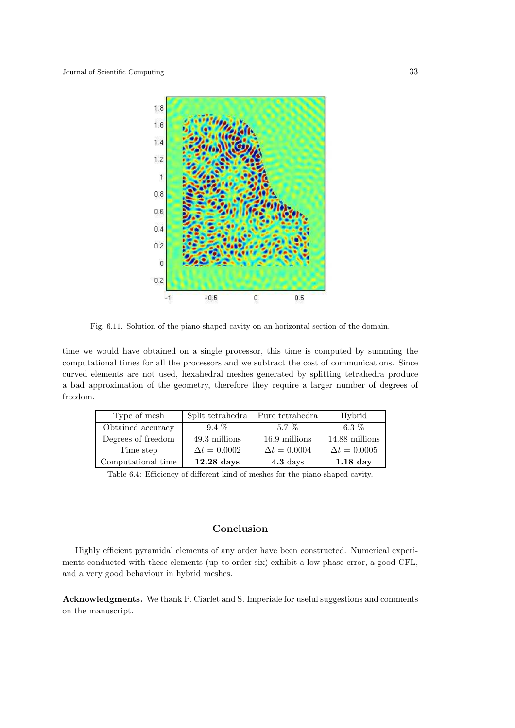

Fig. 6.11. Solution of the piano-shaped cavity on an horizontal section of the domain.

time we would have obtained on a single processor, this time is computed by summing the computational times for all the processors and we subtract the cost of communications. Since curved elements are not used, hexahedral meshes generated by splitting tetrahedra produce a bad approximation of the geometry, therefore they require a larger number of degrees of freedom.

| Type of mesh       | Split tetrahedra    | Pure tetrahedra     | Hybrid              |
|--------------------|---------------------|---------------------|---------------------|
| Obtained accuracy  | $9.4\%$             | $5.7\%$             | 6.3 $%$             |
| Degrees of freedom | 49.3 millions       | 16.9 millions       | 14.88 millions      |
| Time step          | $\Delta t = 0.0002$ | $\Delta t = 0.0004$ | $\Delta t = 0.0005$ |
| Computational time | $12.28$ days        | $4.3~{\rm days}$    | $1.18$ day          |

Table 6.4: Efficiency of different kind of meshes for the piano-shaped cavity.

# Conclusion

Highly efficient pyramidal elements of any order have been constructed. Numerical experiments conducted with these elements (up to order six) exhibit a low phase error, a good CFL, and a very good behaviour in hybrid meshes.

Acknowledgments. We thank P. Ciarlet and S. Imperiale for useful suggestions and comments on the manuscript.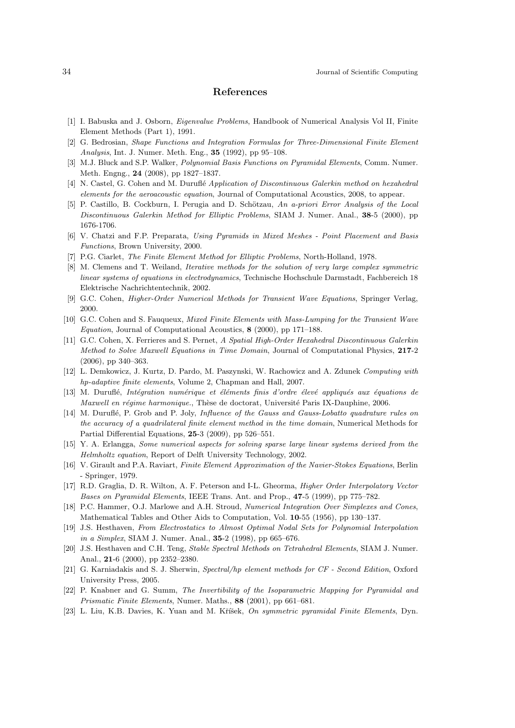# References

- [1] I. Babuska and J. Osborn, Eigenvalue Problems, Handbook of Numerical Analysis Vol II, Finite Element Methods (Part 1), 1991.
- [2] G. Bedrosian, Shape Functions and Integration Formulas for Three-Dimensional Finite Element Analysis, Int. J. Numer. Meth. Eng., 35 (1992), pp 95–108.
- [3] M.J. Bluck and S.P. Walker, Polynomial Basis Functions on Pyramidal Elements, Comm. Numer. Meth. Engng., 24 (2008), pp 1827–1837.
- [4] N. Castel, G. Cohen and M. Duruflé Application of Discontinuous Galerkin method on hexahedral elements for the aeroacoustic equation, Journal of Computational Acoustics, 2008, to appear.
- [5] P. Castillo, B. Cockburn, I. Perugia and D. Schötzau, An a-priori Error Analysis of the Local Discontinuous Galerkin Method for Elliptic Problems, SIAM J. Numer. Anal., 38-5 (2000), pp 1676-1706.
- [6] V. Chatzi and F.P. Preparata, Using Pyramids in Mixed Meshes Point Placement and Basis Functions, Brown University, 2000.
- [7] P.G. Ciarlet, The Finite Element Method for Elliptic Problems, North-Holland, 1978.
- [8] M. Clemens and T. Weiland, Iterative methods for the solution of very large complex symmetric linear systems of equations in electrodynamics, Technische Hochschule Darmstadt, Fachbereich 18 Elektrische Nachrichtentechnik, 2002.
- [9] G.C. Cohen, Higher-Order Numerical Methods for Transient Wave Equations, Springer Verlag, 2000.
- [10] G.C. Cohen and S. Fauqueux, Mixed Finite Elements with Mass-Lumping for the Transient Wave Equation, Journal of Computational Acoustics, 8 (2000), pp 171–188.
- [11] G.C. Cohen, X. Ferrieres and S. Pernet, A Spatial High-Order Hexahedral Discontinuous Galerkin Method to Solve Maxwell Equations in Time Domain, Journal of Computational Physics, 217-2 (2006), pp 340–363.
- [12] L. Demkowicz, J. Kurtz, D. Pardo, M. Paszynski, W. Rachowicz and A. Zdunek Computing with hp-adaptive finite elements, Volume 2, Chapman and Hall, 2007.
- [13] M. Duruflé, Intégration numérique et éléments finis d'ordre élevé appliqués aux équations de Maxwell en régime harmonique., Thèse de doctorat, Université Paris IX-Dauphine, 2006.
- [14] M. Duruflé, P. Grob and P. Joly, *Influence of the Gauss and Gauss-Lobatto quadrature rules on* the accuracy of a quadrilateral finite element method in the time domain, Numerical Methods for Partial Differential Equations, 25-3 (2009), pp 526–551.
- [15] Y. A. Erlangga, Some numerical aspects for solving sparse large linear systems derived from the Helmholtz equation, Report of Delft University Technology, 2002.
- [16] V. Girault and P.A. Raviart, Finite Element Approximation of the Navier-Stokes Equations, Berlin - Springer, 1979.
- [17] R.D. Graglia, D. R. Wilton, A. F. Peterson and I-L. Gheorma, *Higher Order Interpolatory Vector* Bases on Pyramidal Elements, IEEE Trans. Ant. and Prop., 47-5 (1999), pp 775–782.
- [18] P.C. Hammer, O.J. Marlowe and A.H. Stroud, Numerical Integration Over Simplexes and Cones, Mathematical Tables and Other Aids to Computation, Vol. 10-55 (1956), pp 130–137.
- [19] J.S. Hesthaven, From Electrostatics to Almost Optimal Nodal Sets for Polynomial Interpolation in a Simplex, SIAM J. Numer. Anal., **35**-2 (1998), pp 665–676.
- [20] J.S. Hesthaven and C.H. Teng, Stable Spectral Methods on Tetrahedral Elements, SIAM J. Numer. Anal., 21-6 (2000), pp 2352–2380.
- [21] G. Karniadakis and S. J. Sherwin, Spectral/hp element methods for CF Second Edition, Oxford University Press, 2005.
- [22] P. Knabner and G. Summ, The Invertibility of the Isoparametric Mapping for Pyramidal and Prismatic Finite Elements, Numer. Maths., 88 (2001), pp 661–681.
- [23] L. Liu, K.B. Davies, K. Yuan and M. Kříšek, On symmetric pyramidal Finite Elements, Dyn.